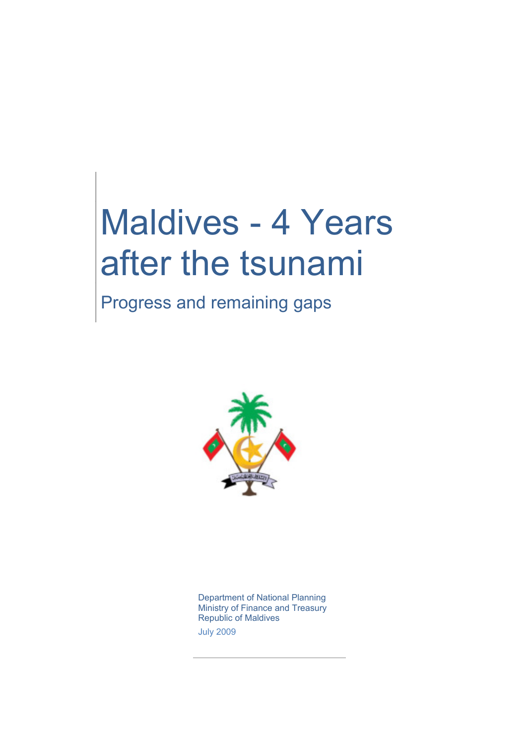# Maldives - 4 Years after the tsunami

# Progress and remaining gaps



Department of National Planning Ministry of Finance and Treasury Republic of Maldives July 2009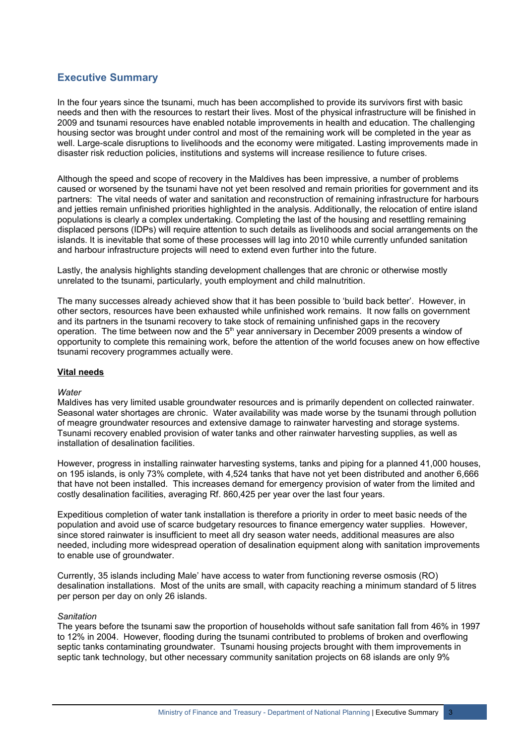# **Executive Summary**

In the four years since the tsunami, much has been accomplished to provide its survivors first with basic needs and then with the resources to restart their lives. Most of the physical infrastructure will be finished in 2009 and tsunami resources have enabled notable improvements in health and education. The challenging housing sector was brought under control and most of the remaining work will be completed in the year as well. Large-scale disruptions to livelihoods and the economy were mitigated. Lasting improvements made in disaster risk reduction policies, institutions and systems will increase resilience to future crises.

Although the speed and scope of recovery in the Maldives has been impressive, a number of problems caused or worsened by the tsunami have not yet been resolved and remain priorities for government and its partners: The vital needs of water and sanitation and reconstruction of remaining infrastructure for harbours and jetties remain unfinished priorities highlighted in the analysis. Additionally, the relocation of entire island populations is clearly a complex undertaking. Completing the last of the housing and resettling remaining displaced persons (IDPs) will require attention to such details as livelihoods and social arrangements on the islands. It is inevitable that some of these processes will lag into 2010 while currently unfunded sanitation and harbour infrastructure projects will need to extend even further into the future.

Lastly, the analysis highlights standing development challenges that are chronic or otherwise mostly unrelated to the tsunami, particularly, youth employment and child malnutrition.

The many successes already achieved show that it has been possible to 'build back better'. However, in other sectors, resources have been exhausted while unfinished work remains. It now falls on government and its partners in the tsunami recovery to take stock of remaining unfinished gaps in the recovery operation. The time between now and the  $5<sup>th</sup>$  year anniversary in December 2009 presents a window of opportunity to complete this remaining work, before the attention of the world focuses anew on how effective tsunami recovery programmes actually were.

#### **Vital needs**

#### *Water*

Maldives has very limited usable groundwater resources and is primarily dependent on collected rainwater. Seasonal water shortages are chronic. Water availability was made worse by the tsunami through pollution of meagre groundwater resources and extensive damage to rainwater harvesting and storage systems. Tsunami recovery enabled provision of water tanks and other rainwater harvesting supplies, as well as installation of desalination facilities.

However, progress in installing rainwater harvesting systems, tanks and piping for a planned 41,000 houses, on 195 islands, is only 73% complete, with 4,524 tanks that have not yet been distributed and another 6,666 that have not been installed. This increases demand for emergency provision of water from the limited and costly desalination facilities, averaging Rf. 860,425 per year over the last four years.

Expeditious completion of water tank installation is therefore a priority in order to meet basic needs of the population and avoid use of scarce budgetary resources to finance emergency water supplies. However, since stored rainwater is insufficient to meet all dry season water needs, additional measures are also needed, including more widespread operation of desalination equipment along with sanitation improvements to enable use of groundwater.

Currently, 35 islands including Male' have access to water from functioning reverse osmosis (RO) desalination installations. Most of the units are small, with capacity reaching a minimum standard of 5 litres per person per day on only 26 islands.

#### *Sanitation*

The years before the tsunami saw the proportion of households without safe sanitation fall from 46% in 1997 to 12% in 2004. However, flooding during the tsunami contributed to problems of broken and overflowing septic tanks contaminating groundwater. Tsunami housing projects brought with them improvements in septic tank technology, but other necessary community sanitation projects on 68 islands are only 9%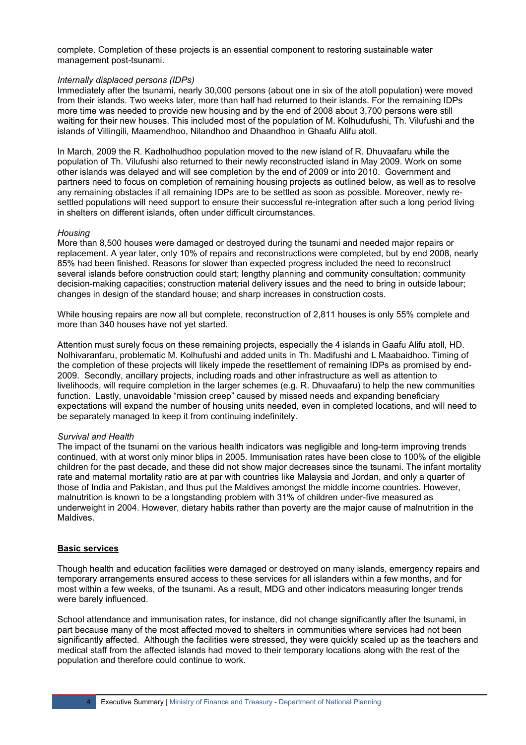complete. Completion of these projects is an essential component to restoring sustainable water management post-tsunami.

#### *Internally displaced persons (IDPs)*

Immediately after the tsunami, nearly 30,000 persons (about one in six of the atoll population) were moved from their islands. Two weeks later, more than half had returned to their islands. For the remaining IDPs more time was needed to provide new housing and by the end of 2008 about 3,700 persons were still waiting for their new houses. This included most of the population of M. Kolhudufushi, Th. Vilufushi and the islands of Villingili, Maamendhoo, Nilandhoo and Dhaandhoo in Ghaafu Alifu atoll.

In March, 2009 the R. Kadholhudhoo population moved to the new island of R. Dhuvaafaru while the population of Th. Vilufushi also returned to their newly reconstructed island in May 2009. Work on some other islands was delayed and will see completion by the end of 2009 or into 2010. Government and partners need to focus on completion of remaining housing projects as outlined below, as well as to resolve any remaining obstacles if all remaining IDPs are to be settled as soon as possible. Moreover, newly resettled populations will need support to ensure their successful re-integration after such a long period living in shelters on different islands, often under difficult circumstances.

#### *Housing*

More than 8,500 houses were damaged or destroyed during the tsunami and needed major repairs or replacement. A year later, only 10% of repairs and reconstructions were completed, but by end 2008, nearly 85% had been finished. Reasons for slower than expected progress included the need to reconstruct several islands before construction could start; lengthy planning and community consultation; community decision-making capacities; construction material delivery issues and the need to bring in outside labour; changes in design of the standard house; and sharp increases in construction costs.

While housing repairs are now all but complete, reconstruction of 2,811 houses is only 55% complete and more than 340 houses have not yet started.

Attention must surely focus on these remaining projects, especially the 4 islands in Gaafu Alifu atoll, HD. Nolhivaranfaru, problematic M. Kolhufushi and added units in Th. Madifushi and L Maabaidhoo. Timing of the completion of these projects will likely impede the resettlement of remaining IDPs as promised by end-2009. Secondly, ancillary projects, including roads and other infrastructure as well as attention to livelihoods, will require completion in the larger schemes (e.g. R. Dhuvaafaru) to help the new communities function. Lastly, unavoidable "mission creep" caused by missed needs and expanding beneficiary expectations will expand the number of housing units needed, even in completed locations, and will need to be separately managed to keep it from continuing indefinitely.

#### *Survival and Health*

The impact of the tsunami on the various health indicators was negligible and long-term improving trends continued, with at worst only minor blips in 2005. Immunisation rates have been close to 100% of the eligible children for the past decade, and these did not show major decreases since the tsunami. The infant mortality rate and maternal mortality ratio are at par with countries like Malaysia and Jordan, and only a quarter of those of India and Pakistan, and thus put the Maldives amongst the middle income countries. However, malnutrition is known to be a longstanding problem with 31% of children under-five measured as underweight in 2004. However, dietary habits rather than poverty are the major cause of malnutrition in the Maldives.

#### **Basic services**

Though health and education facilities were damaged or destroyed on many islands, emergency repairs and temporary arrangements ensured access to these services for all islanders within a few months, and for most within a few weeks, of the tsunami. As a result, MDG and other indicators measuring longer trends were barely influenced.

School attendance and immunisation rates, for instance, did not change significantly after the tsunami, in part because many of the most affected moved to shelters in communities where services had not been significantly affected. Although the facilities were stressed, they were quickly scaled up as the teachers and medical staff from the affected islands had moved to their temporary locations along with the rest of the population and therefore could continue to work.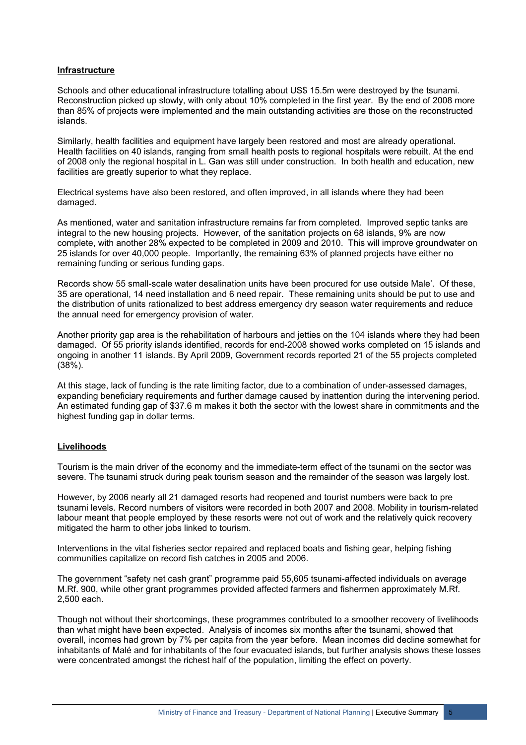#### **Infrastructure**

Schools and other educational infrastructure totalling about US\$ 15.5m were destroyed by the tsunami. Reconstruction picked up slowly, with only about 10% completed in the first year. By the end of 2008 more than 85% of projects were implemented and the main outstanding activities are those on the reconstructed islands.

Similarly, health facilities and equipment have largely been restored and most are already operational. Health facilities on 40 islands, ranging from small health posts to regional hospitals were rebuilt. At the end of 2008 only the regional hospital in L. Gan was still under construction. In both health and education, new facilities are greatly superior to what they replace.

Electrical systems have also been restored, and often improved, in all islands where they had been damaged.

As mentioned, water and sanitation infrastructure remains far from completed. Improved septic tanks are integral to the new housing projects. However, of the sanitation projects on 68 islands, 9% are now complete, with another 28% expected to be completed in 2009 and 2010. This will improve groundwater on 25 islands for over 40,000 people. Importantly, the remaining 63% of planned projects have either no remaining funding or serious funding gaps.

Records show 55 small-scale water desalination units have been procured for use outside Male'. Of these, 35 are operational, 14 need installation and 6 need repair. These remaining units should be put to use and the distribution of units rationalized to best address emergency dry season water requirements and reduce the annual need for emergency provision of water.

Another priority gap area is the rehabilitation of harbours and jetties on the 104 islands where they had been damaged. Of 55 priority islands identified, records for end-2008 showed works completed on 15 islands and ongoing in another 11 islands. By April 2009, Government records reported 21 of the 55 projects completed (38%).

At this stage, lack of funding is the rate limiting factor, due to a combination of under-assessed damages, expanding beneficiary requirements and further damage caused by inattention during the intervening period. An estimated funding gap of \$37.6 m makes it both the sector with the lowest share in commitments and the highest funding gap in dollar terms.

#### **Livelihoods**

Tourism is the main driver of the economy and the immediate-term effect of the tsunami on the sector was severe. The tsunami struck during peak tourism season and the remainder of the season was largely lost.

However, by 2006 nearly all 21 damaged resorts had reopened and tourist numbers were back to pre tsunami levels. Record numbers of visitors were recorded in both 2007 and 2008. Mobility in tourism-related labour meant that people employed by these resorts were not out of work and the relatively quick recovery mitigated the harm to other jobs linked to tourism.

Interventions in the vital fisheries sector repaired and replaced boats and fishing gear, helping fishing communities capitalize on record fish catches in 2005 and 2006.

The government "safety net cash grant" programme paid 55,605 tsunami-affected individuals on average M.Rf. 900, while other grant programmes provided affected farmers and fishermen approximately M.Rf. 2,500 each.

Though not without their shortcomings, these programmes contributed to a smoother recovery of livelihoods than what might have been expected. Analysis of incomes six months after the tsunami, showed that overall, incomes had grown by 7% per capita from the year before. Mean incomes did decline somewhat for inhabitants of Malé and for inhabitants of the four evacuated islands, but further analysis shows these losses were concentrated amongst the richest half of the population, limiting the effect on poverty.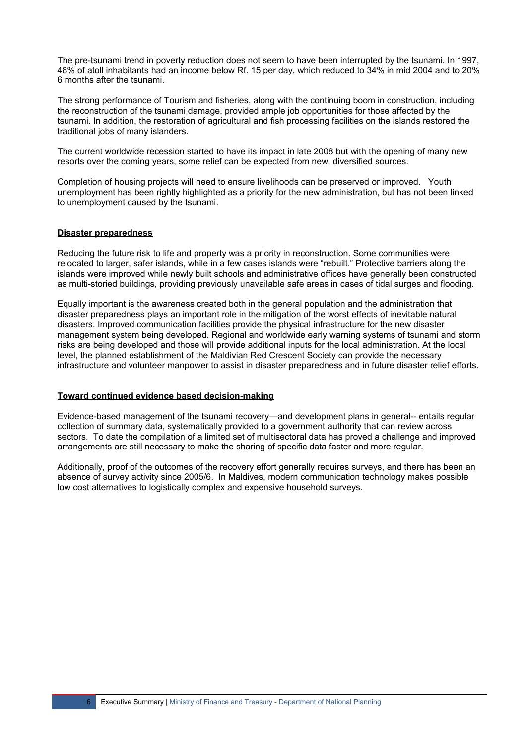The pre-tsunami trend in poverty reduction does not seem to have been interrupted by the tsunami. In 1997, 48% of atoll inhabitants had an income below Rf. 15 per day, which reduced to 34% in mid 2004 and to 20% 6 months after the tsunami.

The strong performance of Tourism and fisheries, along with the continuing boom in construction, including the reconstruction of the tsunami damage, provided ample job opportunities for those affected by the tsunami. In addition, the restoration of agricultural and fish processing facilities on the islands restored the traditional jobs of many islanders.

The current worldwide recession started to have its impact in late 2008 but with the opening of many new resorts over the coming years, some relief can be expected from new, diversified sources.

Completion of housing projects will need to ensure livelihoods can be preserved or improved. Youth unemployment has been rightly highlighted as a priority for the new administration, but has not been linked to unemployment caused by the tsunami.

#### **Disaster preparedness**

Reducing the future risk to life and property was a priority in reconstruction. Some communities were relocated to larger, safer islands, while in a few cases islands were "rebuilt." Protective barriers along the islands were improved while newly built schools and administrative offices have generally been constructed as multi-storied buildings, providing previously unavailable safe areas in cases of tidal surges and flooding.

Equally important is the awareness created both in the general population and the administration that disaster preparedness plays an important role in the mitigation of the worst effects of inevitable natural disasters. Improved communication facilities provide the physical infrastructure for the new disaster management system being developed. Regional and worldwide early warning systems of tsunami and storm risks are being developed and those will provide additional inputs for the local administration. At the local level, the planned establishment of the Maldivian Red Crescent Society can provide the necessary infrastructure and volunteer manpower to assist in disaster preparedness and in future disaster relief efforts.

#### **Toward continued evidence based decision-making**

Evidence-based management of the tsunami recovery—and development plans in general-- entails regular collection of summary data, systematically provided to a government authority that can review across sectors. To date the compilation of a limited set of multisectoral data has proved a challenge and improved arrangements are still necessary to make the sharing of specific data faster and more regular.

Additionally, proof of the outcomes of the recovery effort generally requires surveys, and there has been an absence of survey activity since 2005/6. In Maldives, modern communication technology makes possible low cost alternatives to logistically complex and expensive household surveys.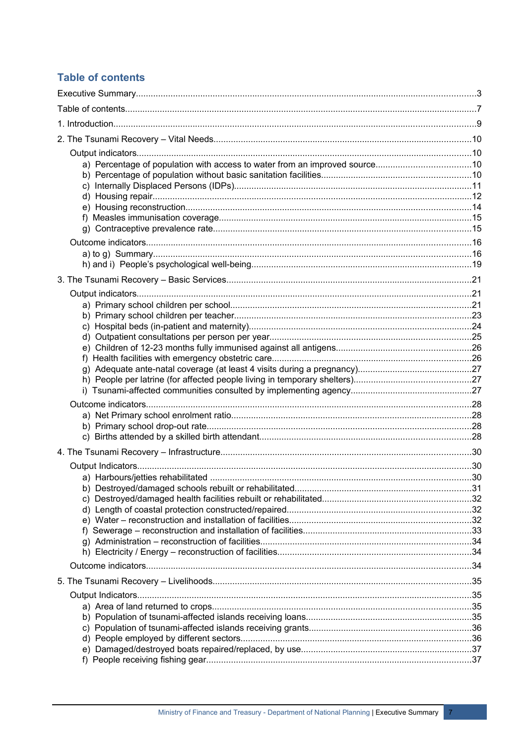# **Table of contents**

| a) Percentage of population with access to water from an improved source10 |  |
|----------------------------------------------------------------------------|--|
|                                                                            |  |
|                                                                            |  |
|                                                                            |  |
|                                                                            |  |
|                                                                            |  |
|                                                                            |  |
|                                                                            |  |
|                                                                            |  |
|                                                                            |  |
|                                                                            |  |
|                                                                            |  |
|                                                                            |  |
|                                                                            |  |
|                                                                            |  |
|                                                                            |  |
|                                                                            |  |
|                                                                            |  |
|                                                                            |  |
|                                                                            |  |
|                                                                            |  |
|                                                                            |  |
|                                                                            |  |
|                                                                            |  |
|                                                                            |  |
|                                                                            |  |
|                                                                            |  |
|                                                                            |  |
|                                                                            |  |
|                                                                            |  |
|                                                                            |  |
|                                                                            |  |
|                                                                            |  |
|                                                                            |  |
|                                                                            |  |
|                                                                            |  |
|                                                                            |  |
|                                                                            |  |
|                                                                            |  |

 $\overline{7}$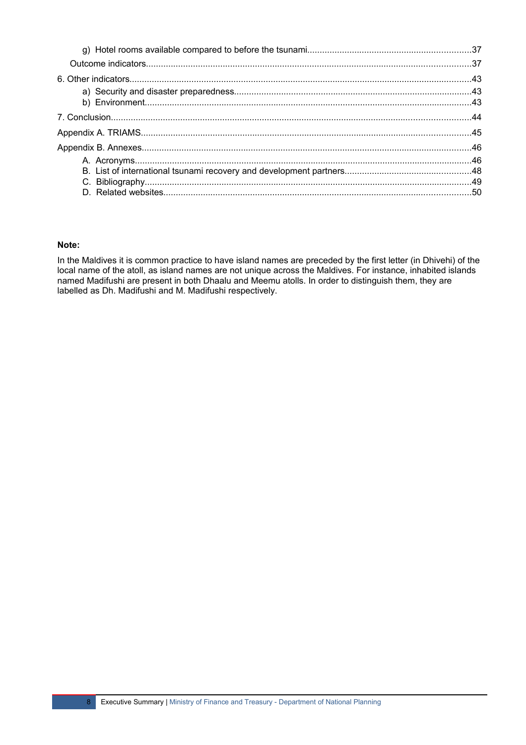#### **Note:**

In the Maldives it is common practice to have island names are preceded by the first letter (in Dhivehi) of the local name of the atoll, as island names are not unique across the Maldives. For instance, inhabited islands named Madifushi are present in both Dhaalu and Meemu atolls. In order to distinguish them, they are labelled as Dh. Madifushi and M. Madifushi respectively.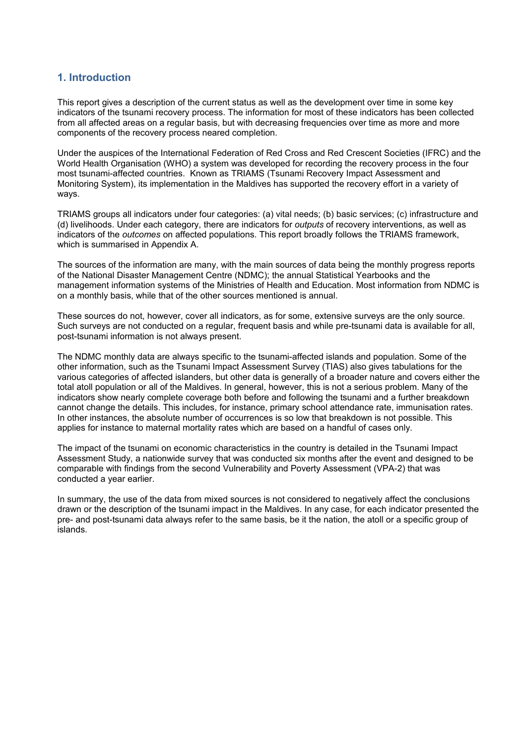# **1. Introduction**

This report gives a description of the current status as well as the development over time in some key indicators of the tsunami recovery process. The information for most of these indicators has been collected from all affected areas on a regular basis, but with decreasing frequencies over time as more and more components of the recovery process neared completion.

Under the auspices of the International Federation of Red Cross and Red Crescent Societies (IFRC) and the World Health Organisation (WHO) a system was developed for recording the recovery process in the four most tsunami-affected countries. Known as TRIAMS (Tsunami Recovery Impact Assessment and Monitoring System), its implementation in the Maldives has supported the recovery effort in a variety of ways.

TRIAMS groups all indicators under four categories: (a) vital needs; (b) basic services; (c) infrastructure and (d) livelihoods. Under each category, there are indicators for *outputs* of recovery interventions, as well as indicators of the *outcomes* on affected populations. This report broadly follows the TRIAMS framework, which is summarised in Appendix A.

The sources of the information are many, with the main sources of data being the monthly progress reports of the National Disaster Management Centre (NDMC); the annual Statistical Yearbooks and the management information systems of the Ministries of Health and Education. Most information from NDMC is on a monthly basis, while that of the other sources mentioned is annual.

These sources do not, however, cover all indicators, as for some, extensive surveys are the only source. Such surveys are not conducted on a regular, frequent basis and while pre-tsunami data is available for all, post-tsunami information is not always present.

The NDMC monthly data are always specific to the tsunami-affected islands and population. Some of the other information, such as the Tsunami Impact Assessment Survey (TIAS) also gives tabulations for the various categories of affected islanders, but other data is generally of a broader nature and covers either the total atoll population or all of the Maldives. In general, however, this is not a serious problem. Many of the indicators show nearly complete coverage both before and following the tsunami and a further breakdown cannot change the details. This includes, for instance, primary school attendance rate, immunisation rates. In other instances, the absolute number of occurrences is so low that breakdown is not possible. This applies for instance to maternal mortality rates which are based on a handful of cases only.

The impact of the tsunami on economic characteristics in the country is detailed in the Tsunami Impact Assessment Study, a nationwide survey that was conducted six months after the event and designed to be comparable with findings from the second Vulnerability and Poverty Assessment (VPA-2) that was conducted a year earlier.

In summary, the use of the data from mixed sources is not considered to negatively affect the conclusions drawn or the description of the tsunami impact in the Maldives. In any case, for each indicator presented the pre- and post-tsunami data always refer to the same basis, be it the nation, the atoll or a specific group of islands.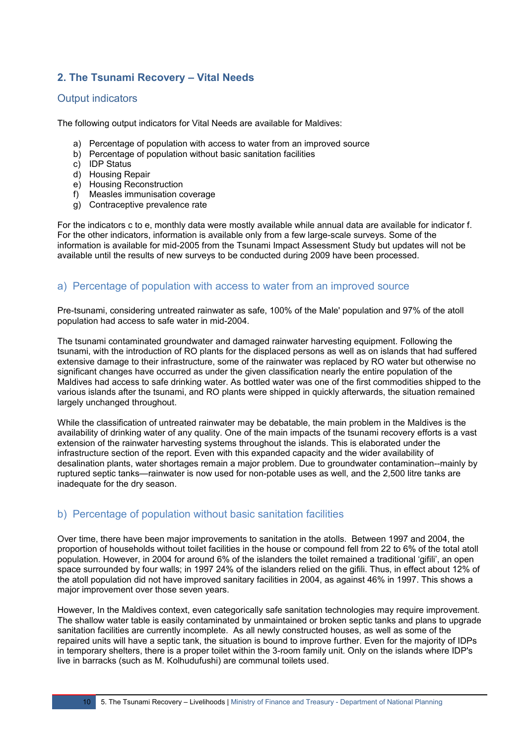# **2. The Tsunami Recovery – Vital Needs**

# Output indicators

The following output indicators for Vital Needs are available for Maldives:

- a) Percentage of population with access to water from an improved source
- b) Percentage of population without basic sanitation facilities
- c) IDP Status
- d) Housing Repair
- e) Housing Reconstruction
- f) Measles immunisation coverage
- g) Contraceptive prevalence rate

For the indicators c to e, monthly data were mostly available while annual data are available for indicator f. For the other indicators, information is available only from a few large-scale surveys. Some of the information is available for mid-2005 from the Tsunami Impact Assessment Study but updates will not be available until the results of new surveys to be conducted during 2009 have been processed.

# a) Percentage of population with access to water from an improved source

Pre-tsunami, considering untreated rainwater as safe, 100% of the Male' population and 97% of the atoll population had access to safe water in mid-2004.

The tsunami contaminated groundwater and damaged rainwater harvesting equipment. Following the tsunami, with the introduction of RO plants for the displaced persons as well as on islands that had suffered extensive damage to their infrastructure, some of the rainwater was replaced by RO water but otherwise no significant changes have occurred as under the given classification nearly the entire population of the Maldives had access to safe drinking water. As bottled water was one of the first commodities shipped to the various islands after the tsunami, and RO plants were shipped in quickly afterwards, the situation remained largely unchanged throughout.

While the classification of untreated rainwater may be debatable, the main problem in the Maldives is the availability of drinking water of any quality. One of the main impacts of the tsunami recovery efforts is a vast extension of the rainwater harvesting systems throughout the islands. This is elaborated under the infrastructure section of the report. Even with this expanded capacity and the wider availability of desalination plants, water shortages remain a major problem. Due to groundwater contamination--mainly by ruptured septic tanks—rainwater is now used for non-potable uses as well, and the 2,500 litre tanks are inadequate for the dry season.

# b) Percentage of population without basic sanitation facilities

Over time, there have been major improvements to sanitation in the atolls. Between 1997 and 2004, the proportion of households without toilet facilities in the house or compound fell from 22 to 6% of the total atoll population. However, in 2004 for around 6% of the islanders the toilet remained a traditional 'gifili', an open space surrounded by four walls; in 1997 24% of the islanders relied on the gifili. Thus, in effect about 12% of the atoll population did not have improved sanitary facilities in 2004, as against 46% in 1997. This shows a major improvement over those seven years.

However, In the Maldives context, even categorically safe sanitation technologies may require improvement. The shallow water table is easily contaminated by unmaintained or broken septic tanks and plans to upgrade sanitation facilities are currently incomplete. As all newly constructed houses, as well as some of the repaired units will have a septic tank, the situation is bound to improve further. Even for the majority of IDPs in temporary shelters, there is a proper toilet within the 3-room family unit. Only on the islands where IDP's live in barracks (such as M. Kolhudufushi) are communal toilets used.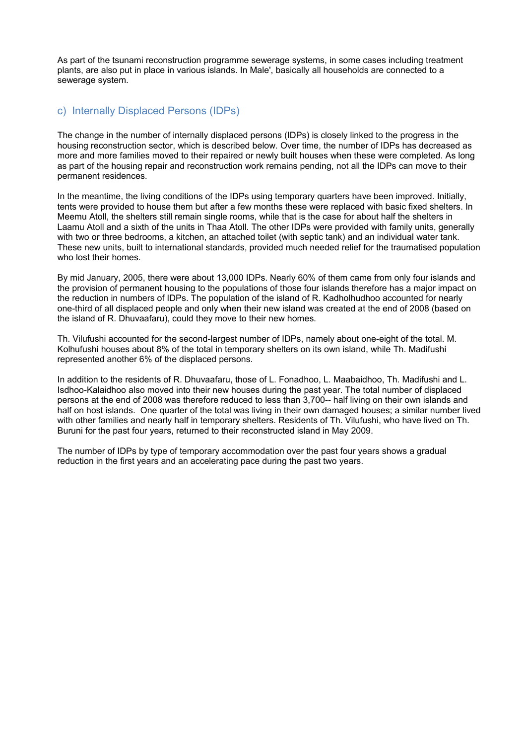As part of the tsunami reconstruction programme sewerage systems, in some cases including treatment plants, are also put in place in various islands. In Male', basically all households are connected to a sewerage system.

# c) Internally Displaced Persons (IDPs)

The change in the number of internally displaced persons (IDPs) is closely linked to the progress in the housing reconstruction sector, which is described below. Over time, the number of IDPs has decreased as more and more families moved to their repaired or newly built houses when these were completed. As long as part of the housing repair and reconstruction work remains pending, not all the IDPs can move to their permanent residences.

In the meantime, the living conditions of the IDPs using temporary quarters have been improved. Initially, tents were provided to house them but after a few months these were replaced with basic fixed shelters. In Meemu Atoll, the shelters still remain single rooms, while that is the case for about half the shelters in Laamu Atoll and a sixth of the units in Thaa Atoll. The other IDPs were provided with family units, generally with two or three bedrooms, a kitchen, an attached toilet (with septic tank) and an individual water tank. These new units, built to international standards, provided much needed relief for the traumatised population who lost their homes.

By mid January, 2005, there were about 13,000 IDPs. Nearly 60% of them came from only four islands and the provision of permanent housing to the populations of those four islands therefore has a major impact on the reduction in numbers of IDPs. The population of the island of R. Kadholhudhoo accounted for nearly one-third of all displaced people and only when their new island was created at the end of 2008 (based on the island of R. Dhuvaafaru), could they move to their new homes.

Th. Vilufushi accounted for the second-largest number of IDPs, namely about one-eight of the total. M. Kolhufushi houses about 8% of the total in temporary shelters on its own island, while Th. Madifushi represented another 6% of the displaced persons.

In addition to the residents of R. Dhuvaafaru, those of L. Fonadhoo, L. Maabaidhoo, Th. Madifushi and L. Isdhoo-Kalaidhoo also moved into their new houses during the past year. The total number of displaced persons at the end of 2008 was therefore reduced to less than 3,700-- half living on their own islands and half on host islands. One quarter of the total was living in their own damaged houses; a similar number lived with other families and nearly half in temporary shelters. Residents of Th. Vilufushi, who have lived on Th. Buruni for the past four years, returned to their reconstructed island in May 2009.

The number of IDPs by type of temporary accommodation over the past four years shows a gradual reduction in the first years and an accelerating pace during the past two years.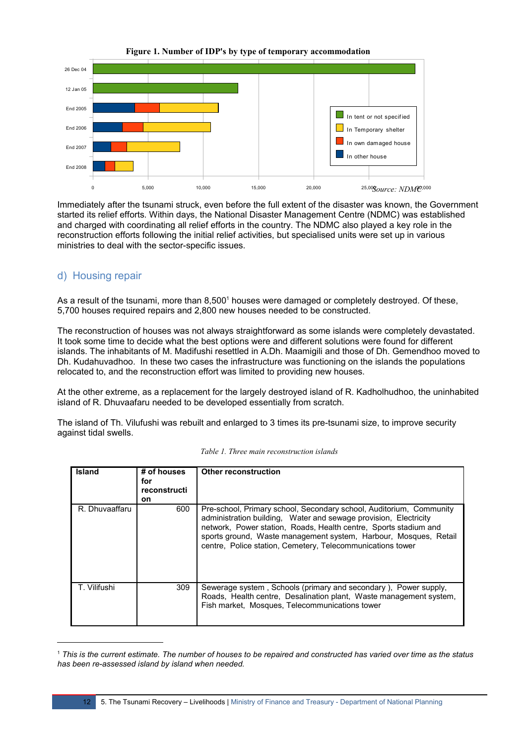

Immediately after the tsunami struck, even before the full extent of the disaster was known, the Government started its relief efforts. Within days, the National Disaster Management Centre (NDMC) was established and charged with coordinating all relief efforts in the country. The NDMC also played a key role in the reconstruction efforts following the initial relief activities, but specialised units were set up in various ministries to deal with the sector-specific issues.

# d) Housing repair

As a result of the tsunami, more than 8,500<sup>[1](#page-11-0)</sup> houses were damaged or completely destroyed. Of these, 5,700 houses required repairs and 2,800 new houses needed to be constructed.

The reconstruction of houses was not always straightforward as some islands were completely devastated. It took some time to decide what the best options were and different solutions were found for different islands. The inhabitants of M. Madifushi resettled in A.Dh. Maamigili and those of Dh. Gemendhoo moved to Dh. Kudahuvadhoo. In these two cases the infrastructure was functioning on the islands the populations relocated to, and the reconstruction effort was limited to providing new houses.

At the other extreme, as a replacement for the largely destroyed island of R. Kadholhudhoo, the uninhabited island of R. Dhuvaafaru needed to be developed essentially from scratch.

The island of Th. Vilufushi was rebuilt and enlarged to 3 times its pre-tsunami size, to improve security against tidal swells.

| <b>Island</b>  | # of houses<br>for<br>reconstructi<br>on | <b>Other reconstruction</b>                                                                                                                                                                                                                                                                                                                   |
|----------------|------------------------------------------|-----------------------------------------------------------------------------------------------------------------------------------------------------------------------------------------------------------------------------------------------------------------------------------------------------------------------------------------------|
| R. Dhuvaaffaru | 600                                      | Pre-school, Primary school, Secondary school, Auditorium, Community<br>administration building, Water and sewage provision, Electricity<br>network, Power station, Roads, Health centre, Sports stadium and<br>sports ground, Waste management system, Harbour, Mosques, Retail<br>centre, Police station, Cemetery, Telecommunications tower |
| T. Vilifushi   | 309                                      | Sewerage system, Schools (primary and secondary), Power supply,<br>Roads, Health centre, Desalination plant, Waste management system,<br>Fish market, Mosques, Telecommunications tower                                                                                                                                                       |

*Table 1. Three main reconstruction islands*

<span id="page-11-0"></span><sup>1</sup>  *This is the current estimate. The number of houses to be repaired and constructed has varied over time as the status has been re-assessed island by island when needed.*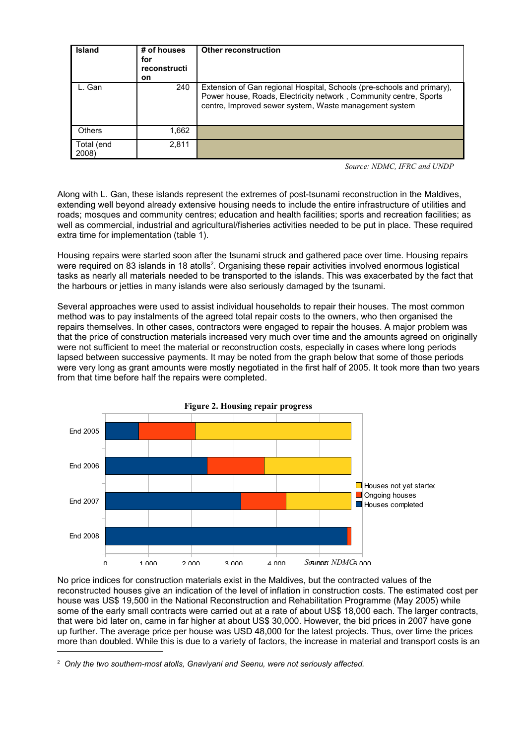| <b>Island</b>       | # of houses<br>for<br>reconstructi<br><b>on</b> | <b>Other reconstruction</b>                                                                                                                                                                           |
|---------------------|-------------------------------------------------|-------------------------------------------------------------------------------------------------------------------------------------------------------------------------------------------------------|
| L. Gan              | 240                                             | Extension of Gan regional Hospital, Schools (pre-schools and primary),<br>Power house, Roads, Electricity network, Community centre, Sports<br>centre, Improved sewer system, Waste management system |
| <b>Others</b>       | 1,662                                           |                                                                                                                                                                                                       |
| Total (end<br>2008) | 2,811                                           |                                                                                                                                                                                                       |

*Source: NDMC, IFRC and UNDP* 

Along with L. Gan, these islands represent the extremes of post-tsunami reconstruction in the Maldives, extending well beyond already extensive housing needs to include the entire infrastructure of utilities and roads; mosques and community centres; education and health facilities; sports and recreation facilities; as well as commercial, industrial and agricultural/fisheries activities needed to be put in place. These required extra time for implementation (table 1).

Housing repairs were started soon after the tsunami struck and gathered pace over time. Housing repairs were required on 83 islands in 18 atolls<sup>[2](#page-12-0)</sup>. Organising these repair activities involved enormous logistical tasks as nearly all materials needed to be transported to the islands. This was exacerbated by the fact that the harbours or jetties in many islands were also seriously damaged by the tsunami.

Several approaches were used to assist individual households to repair their houses. The most common method was to pay instalments of the agreed total repair costs to the owners, who then organised the repairs themselves. In other cases, contractors were engaged to repair the houses. A major problem was that the price of construction materials increased very much over time and the amounts agreed on originally were not sufficient to meet the material or reconstruction costs, especially in cases where long periods lapsed between successive payments. It may be noted from the graph below that some of those periods were very long as grant amounts were mostly negotiated in the first half of 2005. It took more than two years from that time before half the repairs were completed.



No price indices for construction materials exist in the Maldives, but the contracted values of the reconstructed houses give an indication of the level of inflation in construction costs. The estimated cost per house was US\$ 19,500 in the National Reconstruction and Rehabilitation Programme (May 2005) while some of the early small contracts were carried out at a rate of about US\$ 18,000 each. The larger contracts, that were bid later on, came in far higher at about US\$ 30,000. However, the bid prices in 2007 have gone up further. The average price per house was USD 48,000 for the latest projects. Thus, over time the prices more than doubled. While this is due to a variety of factors, the increase in material and transport costs is an

<span id="page-12-0"></span><sup>2</sup>  *Only the two southern-most atolls, Gnaviyani and Seenu, were not seriously affected.*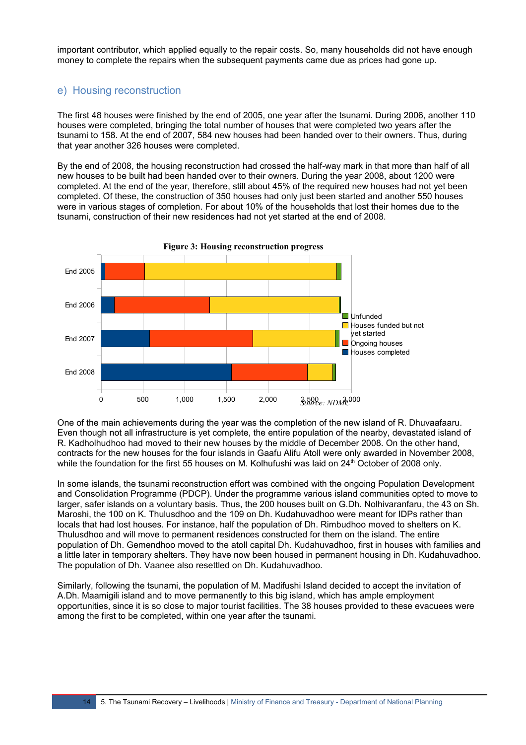important contributor, which applied equally to the repair costs. So, many households did not have enough money to complete the repairs when the subsequent payments came due as prices had gone up.

#### e) Housing reconstruction

The first 48 houses were finished by the end of 2005, one year after the tsunami. During 2006, another 110 houses were completed, bringing the total number of houses that were completed two years after the tsunami to 158. At the end of 2007, 584 new houses had been handed over to their owners. Thus, during that year another 326 houses were completed.

By the end of 2008, the housing reconstruction had crossed the half-way mark in that more than half of all new houses to be built had been handed over to their owners. During the year 2008, about 1200 were completed. At the end of the year, therefore, still about 45% of the required new houses had not yet been completed. Of these, the construction of 350 houses had only just been started and another 550 houses were in various stages of completion. For about 10% of the households that lost their homes due to the tsunami, construction of their new residences had not yet started at the end of 2008.



One of the main achievements during the year was the completion of the new island of R. Dhuvaafaaru. Even though not all infrastructure is yet complete, the entire population of the nearby, devastated island of R. Kadholhudhoo had moved to their new houses by the middle of December 2008. On the other hand, contracts for the new houses for the four islands in Gaafu Alifu Atoll were only awarded in November 2008, while the foundation for the first 55 houses on M. Kolhufushi was laid on 24<sup>th</sup> October of 2008 only.

In some islands, the tsunami reconstruction effort was combined with the ongoing Population Development and Consolidation Programme (PDCP). Under the programme various island communities opted to move to larger, safer islands on a voluntary basis. Thus, the 200 houses built on G.Dh. Nolhivaranfaru, the 43 on Sh. Maroshi, the 100 on K. Thulusdhoo and the 109 on Dh. Kudahuvadhoo were meant for IDPs rather than locals that had lost houses. For instance, half the population of Dh. Rimbudhoo moved to shelters on K. Thulusdhoo and will move to permanent residences constructed for them on the island. The entire population of Dh. Gemendhoo moved to the atoll capital Dh. Kudahuvadhoo, first in houses with families and a little later in temporary shelters. They have now been housed in permanent housing in Dh. Kudahuvadhoo. The population of Dh. Vaanee also resettled on Dh. Kudahuvadhoo.

Similarly, following the tsunami, the population of M. Madifushi Island decided to accept the invitation of A.Dh. Maamigili island and to move permanently to this big island, which has ample employment opportunities, since it is so close to major tourist facilities. The 38 houses provided to these evacuees were among the first to be completed, within one year after the tsunami.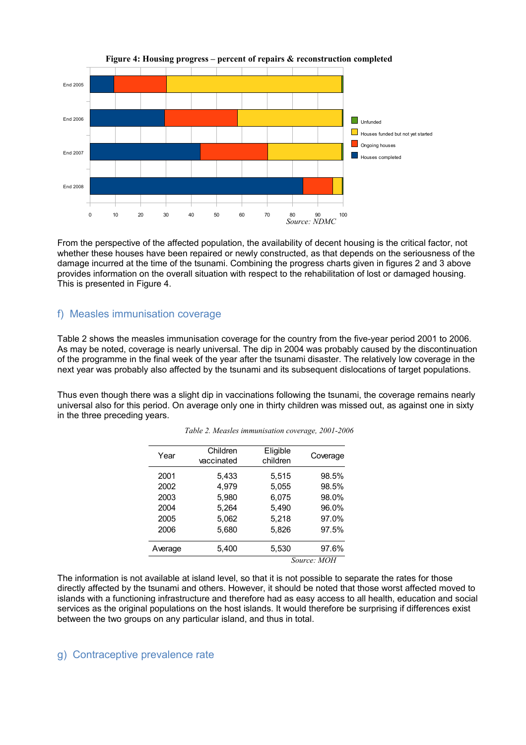

From the perspective of the affected population, the availability of decent housing is the critical factor, not whether these houses have been repaired or newly constructed, as that depends on the seriousness of the damage incurred at the time of the tsunami. Combining the progress charts given in figures 2 and 3 above provides information on the overall situation with respect to the rehabilitation of lost or damaged housing. This is presented in Figure 4.

#### f) Measles immunisation coverage

Table 2 shows the measles immunisation coverage for the country from the five-year period 2001 to 2006. As may be noted, coverage is nearly universal. The dip in 2004 was probably caused by the discontinuation of the programme in the final week of the year after the tsunami disaster. The relatively low coverage in the next year was probably also affected by the tsunami and its subsequent dislocations of target populations.

Thus even though there was a slight dip in vaccinations following the tsunami, the coverage remains nearly universal also for this period. On average only one in thirty children was missed out, as against one in sixty in the three preceding years.

| Year    | Children   | Eligible | Coverage    |
|---------|------------|----------|-------------|
|         | vaccinated | children |             |
| 2001    | 5,433      | 5,515    | 98.5%       |
| 2002    | 4.979      | 5,055    | 98.5%       |
| 2003    | 5,980      | 6,075    | 98.0%       |
| 2004    | 5,264      | 5,490    | 96.0%       |
| 2005    | 5,062      | 5,218    | 97.0%       |
| 2006    | 5,680      | 5,826    | 97.5%       |
| Average | 5,400      | 5,530    | 97.6%       |
|         |            |          | Source: MOH |

*Table 2. Measles immunisation coverage, 2001-2006*

The information is not available at island level, so that it is not possible to separate the rates for those directly affected by the tsunami and others. However, it should be noted that those worst affected moved to islands with a functioning infrastructure and therefore had as easy access to all health, education and social services as the original populations on the host islands. It would therefore be surprising if differences exist between the two groups on any particular island, and thus in total.

#### g) Contraceptive prevalence rate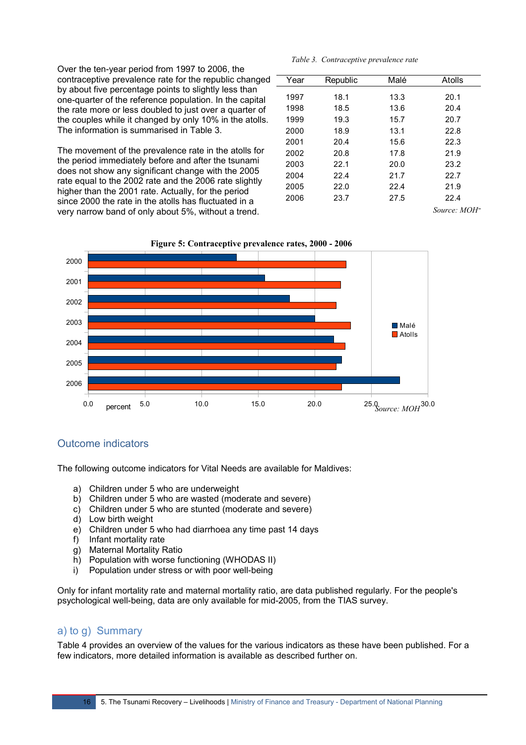Over the ten-year period from 1997 to 2006, the contraceptive prevalence rate for the republic changed by about five percentage points to slightly less than one-quarter of the reference population. In the capital the rate more or less doubled to just over a quarter of the couples while it changed by only 10% in the atolls. The information is summarised in Table 3.

The movement of the prevalence rate in the atolls for the period immediately before and after the tsunami does not show any significant change with the 2005 rate equal to the 2002 rate and the 2006 rate slightly higher than the 2001 rate. Actually, for the period since 2000 the rate in the atolls has fluctuated in a very narrow band of only about 5%, without a trend.

| Year | Republic | Malé | Atolls       |
|------|----------|------|--------------|
| 1997 | 18.1     | 13.3 | 20.1         |
|      |          |      |              |
| 1998 | 18.5     | 13.6 | 20.4         |
| 1999 | 19.3     | 15.7 | 20.7         |
| 2000 | 18.9     | 13.1 | 22.8         |
| 2001 | 20.4     | 15.6 | 22.3         |
| 2002 | 20.8     | 17.8 | 21.9         |
| 2003 | 22.1     | 20.0 | 23.2         |
| 2004 | 224      | 21.7 | 22.7         |
| 2005 | 22.0     | 22.4 | 21.9         |
| 2006 | 23.7     | 27.5 | 22.4         |
|      |          |      | Source: MOH- |

 *Table 3. Contraceptive prevalence rate*



#### **Figure 5: Contraceptive prevalence rates, 2000 - 2006**

#### Outcome indicators

The following outcome indicators for Vital Needs are available for Maldives:

- a) Children under 5 who are underweight
- b) Children under 5 who are wasted (moderate and severe)
- c) Children under 5 who are stunted (moderate and severe)
- d) Low birth weight
- e) Children under 5 who had diarrhoea any time past 14 days
- f) Infant mortality rate
- g) Maternal Mortality Ratio
- h) Population with worse functioning (WHODAS II)
- i) Population under stress or with poor well-being

Only for infant mortality rate and maternal mortality ratio, are data published regularly. For the people's psychological well-being, data are only available for mid-2005, from the TIAS survey.

#### a) to g) Summary

Table 4 provides an overview of the values for the various indicators as these have been published. For a few indicators, more detailed information is available as described further on.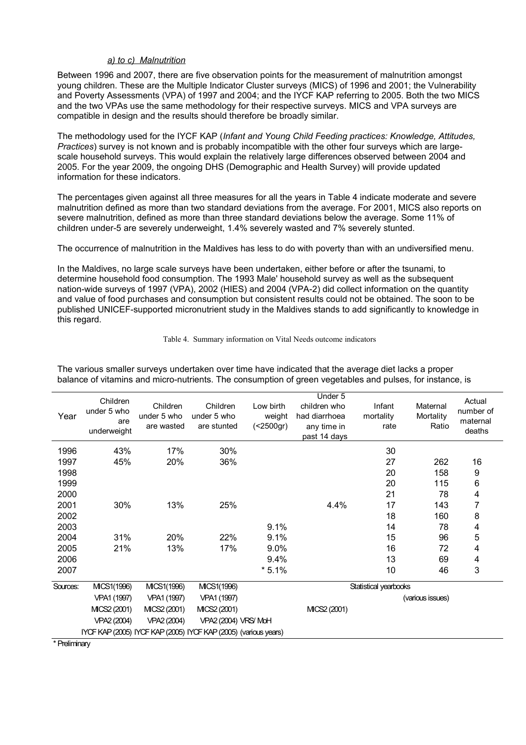#### *a) to c) Malnutrition*

Between 1996 and 2007, there are five observation points for the measurement of malnutrition amongst young children. These are the Multiple Indicator Cluster surveys (MICS) of 1996 and 2001; the Vulnerability and Poverty Assessments (VPA) of 1997 and 2004; and the IYCF KAP referring to 2005. Both the two MICS and the two VPAs use the same methodology for their respective surveys. MICS and VPA surveys are compatible in design and the results should therefore be broadly similar.

The methodology used for the IYCF KAP (*Infant and Young Child Feeding practices: Knowledge, Attitudes, Practices*) survey is not known and is probably incompatible with the other four surveys which are largescale household surveys. This would explain the relatively large differences observed between 2004 and 2005. For the year 2009, the ongoing DHS (Demographic and Health Survey) will provide updated information for these indicators.

The percentages given against all three measures for all the years in Table 4 indicate moderate and severe malnutrition defined as more than two standard deviations from the average. For 2001, MICS also reports on severe malnutrition, defined as more than three standard deviations below the average. Some 11% of children under-5 are severely underweight, 1.4% severely wasted and 7% severely stunted.

The occurrence of malnutrition in the Maldives has less to do with poverty than with an undiversified menu.

In the Maldives, no large scale surveys have been undertaken, either before or after the tsunami, to determine household food consumption. The 1993 Male' household survey as well as the subsequent nation-wide surveys of 1997 (VPA), 2002 (HIES) and 2004 (VPA-2) did collect information on the quantity and value of food purchases and consumption but consistent results could not be obtained. The soon to be published UNICEF-supported micronutrient study in the Maldives stands to add significantly to knowledge in this regard.

| Year                        | Children<br>under 5 who<br>are<br>underweight | Children<br>under 5 who<br>are wasted | Children<br>under 5 who<br>are stunted                          | Low birth<br>weight<br>$( < 2500 \text{gr})$ | Under 5<br>children who<br>had diarrhoea<br>any time in<br>past 14 days | Infant<br>mortality<br>rate | Maternal<br>Mortality<br>Ratio | Actual<br>number of<br>maternal<br>deaths |
|-----------------------------|-----------------------------------------------|---------------------------------------|-----------------------------------------------------------------|----------------------------------------------|-------------------------------------------------------------------------|-----------------------------|--------------------------------|-------------------------------------------|
| 1996                        | 43%                                           | 17%                                   | 30%                                                             |                                              |                                                                         | 30                          |                                |                                           |
| 1997                        | 45%                                           | 20%                                   | 36%                                                             |                                              |                                                                         | 27                          | 262                            | 16                                        |
| 1998                        |                                               |                                       |                                                                 |                                              |                                                                         | 20                          | 158                            | 9                                         |
| 1999                        |                                               |                                       |                                                                 |                                              |                                                                         | 20                          | 115                            | 6                                         |
| 2000                        |                                               |                                       |                                                                 |                                              |                                                                         | 21                          | 78                             | 4                                         |
| 2001                        | 30%                                           | 13%                                   | 25%                                                             |                                              | 4.4%                                                                    | 17                          | 143                            | 7                                         |
| 2002                        |                                               |                                       |                                                                 |                                              |                                                                         | 18                          | 160                            | 8                                         |
| 2003                        |                                               |                                       |                                                                 | 9.1%                                         |                                                                         | 14                          | 78                             | 4                                         |
| 2004                        | 31%                                           | 20%                                   | 22%                                                             | 9.1%                                         |                                                                         | 15                          | 96                             | 5                                         |
| 2005                        | 21%                                           | 13%                                   | 17%                                                             | 9.0%                                         |                                                                         | 16                          | 72                             | 4                                         |
| 2006                        |                                               |                                       |                                                                 | 9.4%                                         |                                                                         | 13                          | 69                             | 4                                         |
| 2007                        |                                               |                                       |                                                                 | $*5.1%$                                      |                                                                         | 10                          | 46                             | 3                                         |
| Sources:                    | MICS1(1996)                                   | MICS1(1996)                           | MICS1(1996)                                                     |                                              |                                                                         | Statistical yearbooks       |                                |                                           |
|                             | VPA1 (1997)                                   | VPA1 (1997)                           | VPA1 (1997)                                                     |                                              |                                                                         |                             | (various issues)               |                                           |
|                             | MICS2 (2001)                                  | MICS2 (2001)                          | MICS2 (2001)                                                    |                                              | MICS2 (2001)                                                            |                             |                                |                                           |
|                             | VPA2 (2004)                                   | VPA2 (2004)                           | VPA2 (2004) VRS/ MoH                                            |                                              |                                                                         |                             |                                |                                           |
|                             |                                               |                                       | IYCF KAP (2005) IYCF KAP (2005) IYCF KAP (2005) (various years) |                                              |                                                                         |                             |                                |                                           |
| $*$ Dealized age $\epsilon$ |                                               |                                       |                                                                 |                                              |                                                                         |                             |                                |                                           |

Table 4. Summary information on Vital Needs outcome indicators

The various smaller surveys undertaken over time have indicated that the average diet lacks a proper balance of vitamins and micro-nutrients. The consumption of green vegetables and pulses, for instance, is

**Preliminary**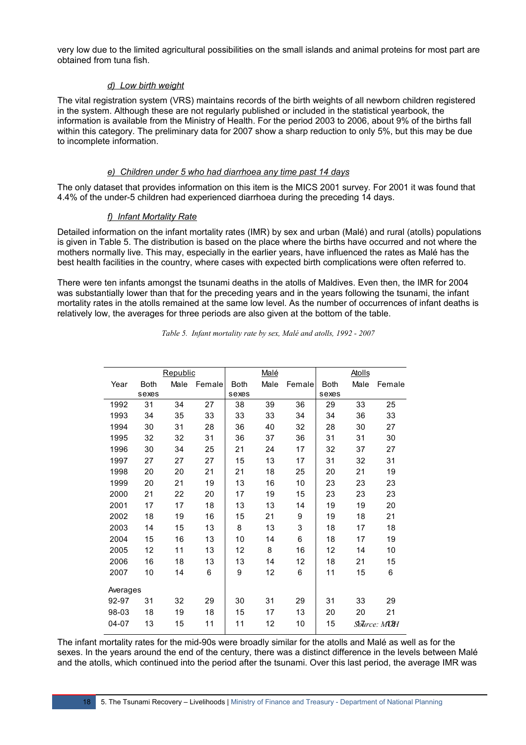very low due to the limited agricultural possibilities on the small islands and animal proteins for most part are obtained from tuna fish.

#### *d) Low birth weight*

The vital registration system (VRS) maintains records of the birth weights of all newborn children registered in the system. Although these are not regularly published or included in the statistical yearbook, the information is available from the Ministry of Health. For the period 2003 to 2006, about 9% of the births fall within this category. The preliminary data for 2007 show a sharp reduction to only 5%, but this may be due to incomplete information.

#### *e) Children under 5 who had diarrhoea any time past 14 days*

The only dataset that provides information on this item is the MICS 2001 survey. For 2001 it was found that 4.4% of the under-5 children had experienced diarrhoea during the preceding 14 days.

#### *f) Infant Mortality Rate*

Detailed information on the infant mortality rates (IMR) by sex and urban (Malé) and rural (atolls) populations is given in Table 5. The distribution is based on the place where the births have occurred and not where the mothers normally live. This may, especially in the earlier years, have influenced the rates as Malé has the best health facilities in the country, where cases with expected birth complications were often referred to.

There were ten infants amongst the tsunami deaths in the atolls of Maldives. Even then, the IMR for 2004 was substantially lower than that for the preceding years and in the years following the tsunami, the infant mortality rates in the atolls remained at the same low level. As the number of occurrences of infant deaths is relatively low, the averages for three periods are also given at the bottom of the table.

|          |                      | Republic |        |                      | Malé |        |                      | <b>Atolls</b> |        |
|----------|----------------------|----------|--------|----------------------|------|--------|----------------------|---------------|--------|
| Year     | <b>Both</b><br>sexes | Male     | Female | <b>Both</b><br>sexes | Male | Female | <b>Both</b><br>sexes | Male          | Female |
| 1992     | 31                   | 34       | 27     | 38                   | 39   | 36     | 29                   | 33            | 25     |
| 1993     | 34                   | 35       | 33     | 33                   | 33   | 34     | 34                   | 36            | 33     |
| 1994     | 30                   | 31       | 28     | 36                   | 40   | 32     | 28                   | 30            | 27     |
| 1995     | 32                   | 32       | 31     | 36                   | 37   | 36     | 31                   | 31            | 30     |
| 1996     | 30                   | 34       | 25     | 21                   | 24   | 17     | 32                   | 37            | 27     |
| 1997     | 27                   | 27       | 27     | 15                   | 13   | 17     | 31                   | 32            | 31     |
| 1998     | 20                   | 20       | 21     | 21                   | 18   | 25     | 20                   | 21            | 19     |
| 1999     | 20                   | 21       | 19     | 13                   | 16   | 10     | 23                   | 23            | 23     |
| 2000     | 21                   | 22       | 20     | 17                   | 19   | 15     | 23                   | 23            | 23     |
| 2001     | 17                   | 17       | 18     | 13                   | 13   | 14     | 19                   | 19            | 20     |
| 2002     | 18                   | 19       | 16     | 15                   | 21   | 9      | 19                   | 18            | 21     |
| 2003     | 14                   | 15       | 13     | 8                    | 13   | 3      | 18                   | 17            | 18     |
| 2004     | 15                   | 16       | 13     | 10                   | 14   | 6      | 18                   | 17            | 19     |
| 2005     | 12                   | 11       | 13     | 12                   | 8    | 16     | 12                   | 14            | 10     |
| 2006     | 16                   | 18       | 13     | 13                   | 14   | 12     | 18                   | 21            | 15     |
| 2007     | 10                   | 14       | 6      | 9                    | 12   | 6      | 11                   | 15            | 6      |
| Averages |                      |          |        |                      |      |        |                      |               |        |
| 92-97    | 31                   | 32       | 29     | 30                   | 31   | 29     | 31                   | 33            | 29     |
| 98-03    | 18                   | 19       | 18     | 15                   | 17   | 13     | 20                   | 20            | 21     |
| 04-07    | 13                   | 15       | 11     | 11                   | 12   | 10     | 15                   |               | $Sh^T$ |

*Table 5. Infant mortality rate by sex, Malé and atolls, 1992 - 2007* 

The infant mortality rates for the mid-90s were broadly similar for the atolls and Malé as well as for the sexes. In the years around the end of the century, there was a distinct difference in the levels between Malé and the atolls, which continued into the period after the tsunami. Over this last period, the average IMR was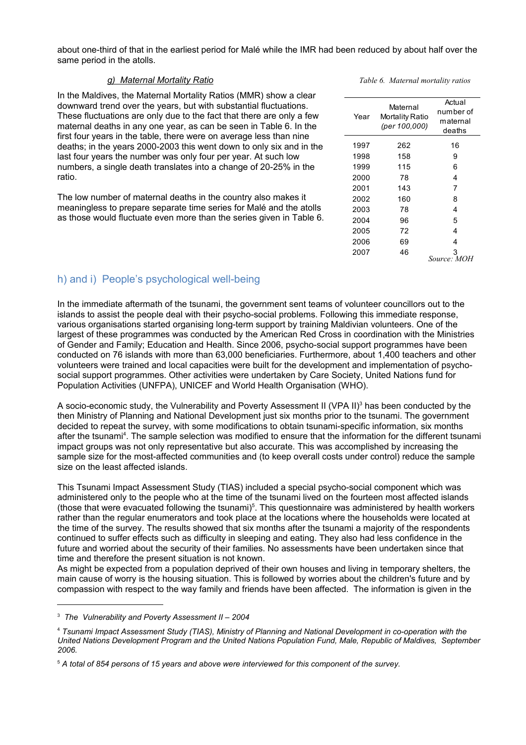about one-third of that in the earliest period for Malé while the IMR had been reduced by about half over the same period in the atolls.

#### *g) Maternal Mortality Ratio*

In the Maldives, the Maternal Mortality Ratios (MMR) show a clear downward trend over the years, but with substantial fluctuations. These fluctuations are only due to the fact that there are only a few maternal deaths in any one year, as can be seen in Table 6. In the first four years in the table, there were on average less than nine deaths; in the years 2000-2003 this went down to only six and in the last four years the number was only four per year. At such low numbers, a single death translates into a change of 20-25% in the ratio.

The low number of maternal deaths in the country also makes it meaningless to prepare separate time series for Malé and the atolls as those would fluctuate even more than the series given in Table 6.

| Year | Maternal<br>Mortality Ratio<br>(per 100,000) | Actual<br>number of<br>maternal<br>deaths |
|------|----------------------------------------------|-------------------------------------------|
| 1997 | 262                                          | 16                                        |
| 1998 | 158                                          | 9                                         |
| 1999 | 115                                          | 6                                         |
| 2000 | 78                                           | 4                                         |
| 2001 | 143                                          | 7                                         |
| 2002 | 160                                          | 8                                         |
| 2003 | 78                                           | 4                                         |
| 2004 | 96                                           | 5                                         |
| 2005 | 72                                           | 4                                         |
| 2006 | 69                                           | 4                                         |
| 2007 | 46                                           | 3<br>Source: MOH                          |

# h) and i) People's psychological well-being

In the immediate aftermath of the tsunami, the government sent teams of volunteer councillors out to the islands to assist the people deal with their psycho-social problems. Following this immediate response, various organisations started organising long-term support by training Maldivian volunteers. One of the largest of these programmes was conducted by the American Red Cross in coordination with the Ministries of Gender and Family; Education and Health. Since 2006, psycho-social support programmes have been conducted on 76 islands with more than 63,000 beneficiaries. Furthermore, about 1,400 teachers and other volunteers were trained and local capacities were built for the development and implementation of psychosocial support programmes. Other activities were undertaken by Care Society, United Nations fund for Population Activities (UNFPA), UNICEF and World Health Organisation (WHO).

A socio-economic study, the Vulnerability and Poverty Assessment II (VPA II) $^3$  $^3$  has been conducted by the then Ministry of Planning and National Development just six months prior to the tsunami. The government decided to repeat the survey, with some modifications to obtain tsunami-specific information, six months after the tsunami<sup>[4](#page-18-1)</sup>. The sample selection was modified to ensure that the information for the different tsunami impact groups was not only representative but also accurate. This was accomplished by increasing the sample size for the most-affected communities and (to keep overall costs under control) reduce the sample size on the least affected islands.

This Tsunami Impact Assessment Study (TIAS) included a special psycho-social component which was administered only to the people who at the time of the tsunami lived on the fourteen most affected islands (those that were evacuated following the tsunami)<sup>[5](#page-18-2)</sup>. This questionnaire was administered by health workers rather than the regular enumerators and took place at the locations where the households were located at the time of the survey. The results showed that six months after the tsunami a majority of the respondents continued to suffer effects such as difficulty in sleeping and eating. They also had less confidence in the future and worried about the security of their families. No assessments have been undertaken since that time and therefore the present situation is not known.

As might be expected from a population deprived of their own houses and living in temporary shelters, the main cause of worry is the housing situation. This is followed by worries about the children's future and by compassion with respect to the way family and friends have been affected. The information is given in the

<span id="page-18-0"></span><sup>3</sup>  *The Vulnerability and Poverty Assessment II – 2004*

<span id="page-18-1"></span><sup>4</sup>  *Tsunami Impact Assessment Study (TIAS), Ministry of Planning and National Development in co-operation with the United Nations Development Program and the United Nations Population Fund, Male, Republic of Maldives, September 2006.*

<span id="page-18-2"></span><sup>5</sup>  *A total of 854 persons of 15 years and above were interviewed for this component of the survey.*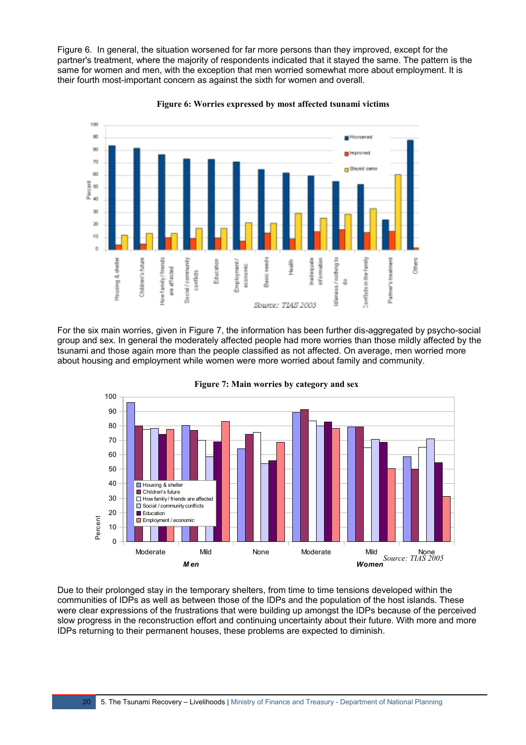Figure 6. In general, the situation worsened for far more persons than they improved, except for the partner's treatment, where the majority of respondents indicated that it stayed the same. The pattern is the same for women and men, with the exception that men worried somewhat more about employment. It is their fourth most-important concern as against the sixth for women and overall.



**Figure 6: Worries expressed by most affected tsunami victims**

For the six main worries, given in Figure 7, the information has been further dis-aggregated by psycho-social group and sex. In general the moderately affected people had more worries than those mildly affected by the tsunami and those again more than the people classified as not affected. On average, men worried more about housing and employment while women were more worried about family and community.



**Figure 7: Main worries by category and sex**

Due to their prolonged stay in the temporary shelters, from time to time tensions developed within the communities of IDPs as well as between those of the IDPs and the population of the host islands. These were clear expressions of the frustrations that were building up amongst the IDPs because of the perceived slow progress in the reconstruction effort and continuing uncertainty about their future. With more and more IDPs returning to their permanent houses, these problems are expected to diminish.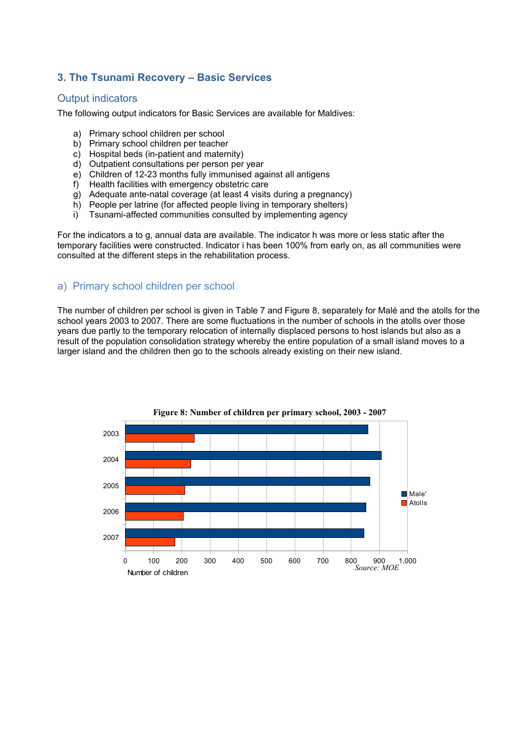# **3. The Tsunami Recovery – Basic Services**

#### Output indicators

The following output indicators for Basic Services are available for Maldives:

- a) Primary school children per school
- b) Primary school children per teacher
- c) Hospital beds (in-patient and maternity)
- d) Outpatient consultations per person per year
- e) Children of 12-23 months fully immunised against all antigens
- f) Health facilities with emergency obstetric care
- g) Adequate ante-natal coverage (at least 4 visits during a pregnancy)
- h) People per latrine (for affected people living in temporary shelters)
- i) Tsunami-affected communities consulted by implementing agency

For the indicators a to g, annual data are available. The indicator h was more or less static after the temporary facilities were constructed. Indicator i has been 100% from early on, as all communities were consulted at the different steps in the rehabilitation process.

#### a) Primary school children per school

The number of children per school is given in Table 7 and Figure 8, separately for Malé and the atolls for the school years 2003 to 2007. There are some fluctuations in the number of schools in the atolls over those years due partly to the temporary relocation of internally displaced persons to host islands but also as a result of the population consolidation strategy whereby the entire population of a small island moves to a larger island and the children then go to the schools already existing on their new island.



#### **Figure 8: Number of children per primary school, 2003 - 2007**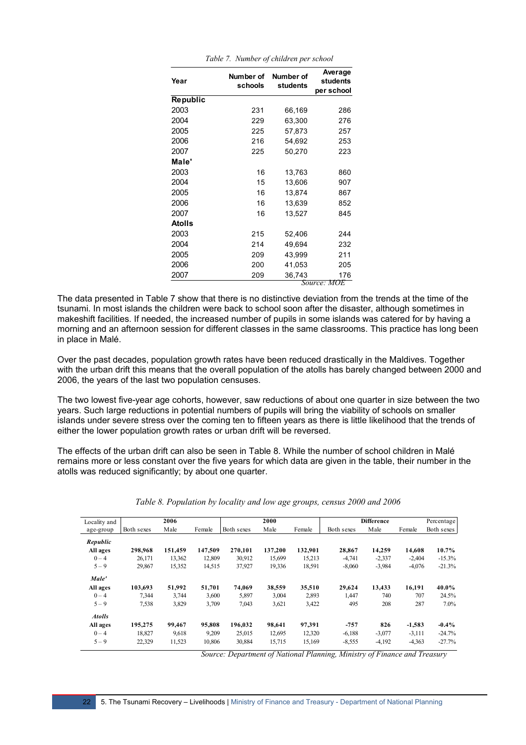| Year          | Number of<br>schools | Number of<br>students | Average<br>students<br>per school |
|---------------|----------------------|-----------------------|-----------------------------------|
| Republic      |                      |                       |                                   |
| 2003          | 231                  | 66,169                | 286                               |
| 2004          | 229                  | 63,300                | 276                               |
| 2005          | 225                  | 57,873                | 257                               |
| 2006          | 216                  | 54,692                | 253                               |
| 2007          | 225                  | 50,270                | 223                               |
| Male'         |                      |                       |                                   |
| 2003          | 16                   | 13,763                | 860                               |
| 2004          | 15                   | 13,606                | 907                               |
| 2005          | 16                   | 13,874                | 867                               |
| 2006          | 16                   | 13,639                | 852                               |
| 2007          | 16                   | 13,527                | 845                               |
| <b>Atolls</b> |                      |                       |                                   |
| 2003          | 215                  | 52,406                | 244                               |
| 2004          | 214                  | 49,694                | 232                               |
| 2005          | 209                  | 43,999                | 211                               |
| 2006          | 200                  | 41,053                | 205                               |
| 2007          | 209                  | 36,743                | 176                               |
|               |                      |                       | Source: MOE                       |

*Table 7. Number of children per school*

The data presented in Table 7 show that there is no distinctive deviation from the trends at the time of the tsunami. In most islands the children were back to school soon after the disaster, although sometimes in makeshift facilities. If needed, the increased number of pupils in some islands was catered for by having a morning and an afternoon session for different classes in the same classrooms. This practice has long been in place in Malé.

Over the past decades, population growth rates have been reduced drastically in the Maldives. Together with the urban drift this means that the overall population of the atolls has barely changed between 2000 and 2006, the years of the last two population censuses.

The two lowest five-year age cohorts, however, saw reductions of about one quarter in size between the two years. Such large reductions in potential numbers of pupils will bring the viability of schools on smaller islands under severe stress over the coming ten to fifteen years as there is little likelihood that the trends of either the lower population growth rates or urban drift will be reversed.

The effects of the urban drift can also be seen in Table 8. While the number of school children in Malé remains more or less constant over the five years for which data are given in the table, their number in the atolls was reduced significantly; by about one quarter.

| Locality and  |            | 2006    |         |            | 2000    |         |            | <b>Difference</b> |          | Percentage |
|---------------|------------|---------|---------|------------|---------|---------|------------|-------------------|----------|------------|
| age-group     | Both sexes | Male    | Female  | Both sexes | Male    | Female  | Both sexes | Male              | Female   | Both sexes |
| Republic      |            |         |         |            |         |         |            |                   |          |            |
| All ages      | 298,968    | 151,459 | 147,509 | 270,101    | 137,200 | 132,901 | 28,867     | 14,259            | 14,608   | 10.7%      |
| $0 - 4$       | 26,171     | 13,362  | 12,809  | 30,912     | 15,699  | 15,213  | $-4,741$   | $-2,337$          | $-2,404$ | $-15.3%$   |
| $5 - 9$       | 29,867     | 15,352  | 14,515  | 37,927     | 19,336  | 18,591  | $-8,060$   | $-3,984$          | $-4,076$ | $-21.3%$   |
| Male'         |            |         |         |            |         |         |            |                   |          |            |
| All ages      | 103.693    | 51,992  | 51,701  | 74,069     | 38,559  | 35,510  | 29,624     | 13,433            | 16.191   | 40.0%      |
| $0 - 4$       | 7,344      | 3,744   | 3,600   | 5,897      | 3,004   | 2,893   | 1,447      | 740               | 707      | 24.5%      |
| $5 - 9$       | 7,538      | 3,829   | 3,709   | 7,043      | 3,621   | 3,422   | 495        | 208               | 287      | $7.0\%$    |
| <b>Atolls</b> |            |         |         |            |         |         |            |                   |          |            |
| All ages      | 195,275    | 99,467  | 95,808  | 196,032    | 98,641  | 97,391  | $-757$     | 826               | $-1,583$ | $-0.4\%$   |
| $0 - 4$       | 18,827     | 9,618   | 9,209   | 25,015     | 12,695  | 12,320  | $-6,188$   | $-3,077$          | $-3,111$ | $-24.7%$   |
| $5 - 9$       | 22,329     | 11,523  | 10,806  | 30,884     | 15,715  | 15,169  | $-8,555$   | $-4,192$          | $-4,363$ | $-27.7%$   |

|  |  |  | Table 8. Population by locality and low age groups, census 2000 and 2006 |  |  |  |  |  |  |
|--|--|--|--------------------------------------------------------------------------|--|--|--|--|--|--|
|--|--|--|--------------------------------------------------------------------------|--|--|--|--|--|--|

*Source: Department of National Planning, Ministry of Finance and Treasury*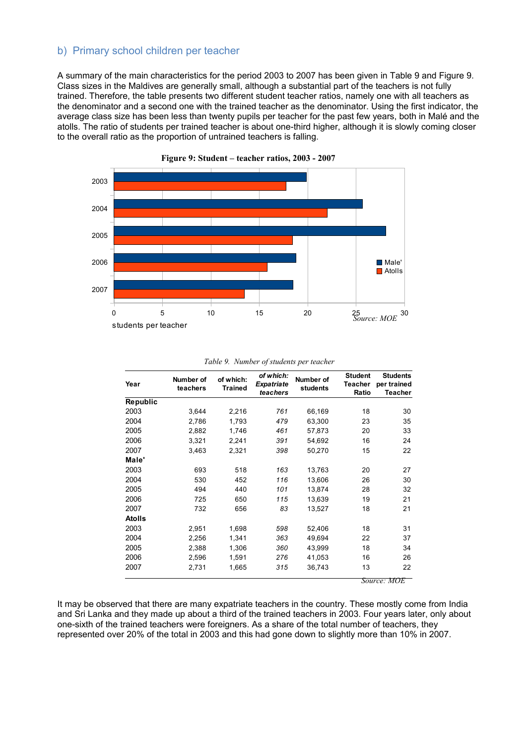#### b) Primary school children per teacher

A summary of the main characteristics for the period 2003 to 2007 has been given in Table 9 and Figure 9. Class sizes in the Maldives are generally small, although a substantial part of the teachers is not fully trained. Therefore, the table presents two different student teacher ratios, namely one with all teachers as the denominator and a second one with the trained teacher as the denominator. Using the first indicator, the average class size has been less than twenty pupils per teacher for the past few years, both in Malé and the atolls. The ratio of students per trained teacher is about one-third higher, although it is slowly coming closer to the overall ratio as the proportion of untrained teachers is falling.





|               |                       |                             |                                            | ×.                    |                                    |                                           |
|---------------|-----------------------|-----------------------------|--------------------------------------------|-----------------------|------------------------------------|-------------------------------------------|
| Year          | Number of<br>teachers | of which:<br><b>Trained</b> | of which:<br><b>Expatriate</b><br>teachers | Number of<br>students | <b>Student</b><br>Teacher<br>Ratio | <b>Students</b><br>per trained<br>Teacher |
| Republic      |                       |                             |                                            |                       |                                    |                                           |
| 2003          | 3,644                 | 2,216                       | 761                                        | 66,169                | 18                                 | 30                                        |
| 2004          | 2,786                 | 1,793                       | 479                                        | 63,300                | 23                                 | 35                                        |
| 2005          | 2,882                 | 1,746                       | 461                                        | 57,873                | 20                                 | 33                                        |
| 2006          | 3,321                 | 2,241                       | 391                                        | 54,692                | 16                                 | 24                                        |
| 2007          | 3,463                 | 2,321                       | 398                                        | 50,270                | 15                                 | 22                                        |
| Male'         |                       |                             |                                            |                       |                                    |                                           |
| 2003          | 693                   | 518                         | 163                                        | 13,763                | 20                                 | 27                                        |
| 2004          | 530                   | 452                         | 116                                        | 13,606                | 26                                 | 30                                        |
| 2005          | 494                   | 440                         | 101                                        | 13,874                | 28                                 | 32                                        |
| 2006          | 725                   | 650                         | 115                                        | 13,639                | 19                                 | 21                                        |
| 2007          | 732                   | 656                         | 83                                         | 13,527                | 18                                 | 21                                        |
| <b>Atolls</b> |                       |                             |                                            |                       |                                    |                                           |
| 2003          | 2,951                 | 1,698                       | 598                                        | 52,406                | 18                                 | 31                                        |
| 2004          | 2,256                 | 1,341                       | 363                                        | 49,694                | 22                                 | 37                                        |
| 2005          | 2,388                 | 1,306                       | 360                                        | 43,999                | 18                                 | 34                                        |
| 2006          | 2,596                 | 1,591                       | 276                                        | 41,053                | 16                                 | 26                                        |
| 2007          | 2,731                 | 1,665                       | 315                                        | 36,743                | 13                                 | 22                                        |
|               |                       |                             |                                            |                       |                                    | <i>Source: MOE</i>                        |

#### *Table 9. Number of students per teacher*

It may be observed that there are many expatriate teachers in the country. These mostly come from India and Sri Lanka and they made up about a third of the trained teachers in 2003. Four years later, only about one-sixth of the trained teachers were foreigners. As a share of the total number of teachers, they represented over 20% of the total in 2003 and this had gone down to slightly more than 10% in 2007.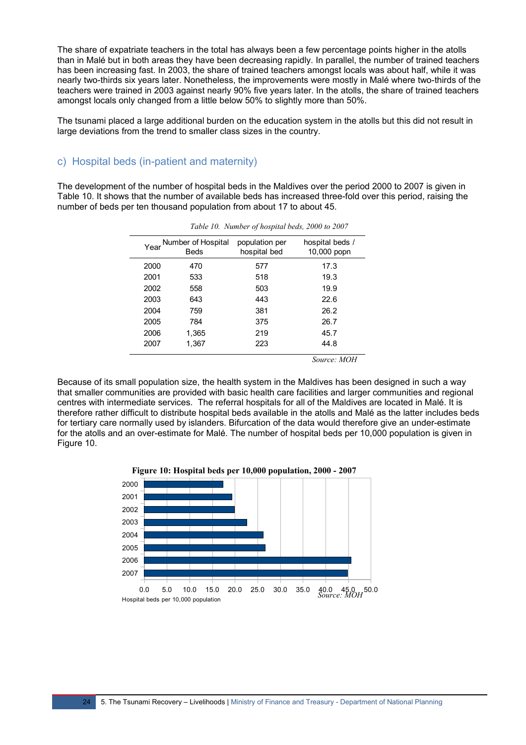The share of expatriate teachers in the total has always been a few percentage points higher in the atolls than in Malé but in both areas they have been decreasing rapidly. In parallel, the number of trained teachers has been increasing fast. In 2003, the share of trained teachers amongst locals was about half, while it was nearly two-thirds six years later. Nonetheless, the improvements were mostly in Malé where two-thirds of the teachers were trained in 2003 against nearly 90% five years later. In the atolls, the share of trained teachers amongst locals only changed from a little below 50% to slightly more than 50%.

The tsunami placed a large additional burden on the education system in the atolls but this did not result in large deviations from the trend to smaller class sizes in the country.

#### c) Hospital beds (in-patient and maternity)

The development of the number of hospital beds in the Maldives over the period 2000 to 2007 is given in Table 10. It shows that the number of available beds has increased three-fold over this period, raising the number of beds per ten thousand population from about 17 to about 45.

| Year | Number of Hospital | population per | hospital beds / |
|------|--------------------|----------------|-----------------|
|      | Beds               | hospital bed   | 10,000 popn     |
| 2000 | 470                | 577            | 17.3            |
| 2001 | 533                | 518            | 19.3            |
| 2002 | 558                | 503            | 19.9            |
| 2003 | 643                | 443            | 22.6            |
| 2004 | 759                | 381            | 26.2            |
| 2005 | 784                | 375            | 26.7            |
| 2006 | 1.365              | 219            | 45.7            |
| 2007 | 1,367              | 223            | 44.8            |

*Table 10. Number of hospital beds, 2000 to 2007*

Because of its small population size, the health system in the Maldives has been designed in such a way that smaller communities are provided with basic health care facilities and larger communities and regional centres with intermediate services. The referral hospitals for all of the Maldives are located in Malé. It is therefore rather difficult to distribute hospital beds available in the atolls and Malé as the latter includes beds for tertiary care normally used by islanders. Bifurcation of the data would therefore give an under-estimate for the atolls and an over-estimate for Malé. The number of hospital beds per 10,000 population is given in Figure 10.



**Figure 10: Hospital beds per 10,000 population, 2000 - 2007**

*Source: MOH*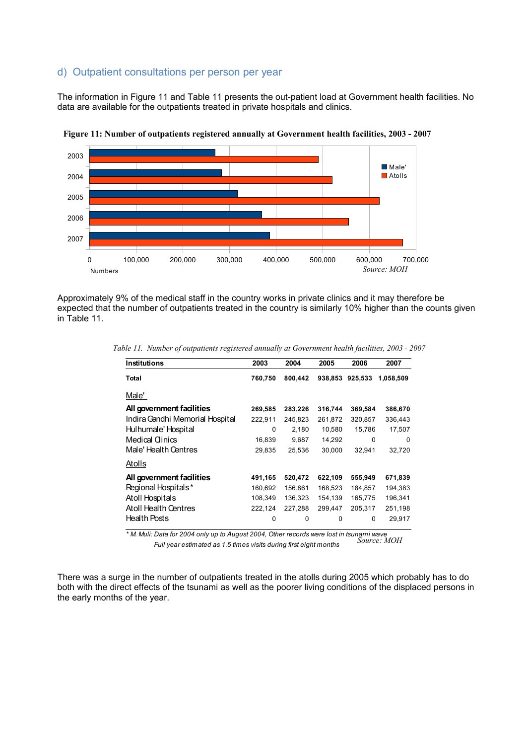#### d) Outpatient consultations per person per year

The information in Figure 11 and Table 11 presents the out-patient load at Government health facilities. No data are available for the outpatients treated in private hospitals and clinics.



**Figure 11: Number of outpatients registered annually at Government health facilities, 2003 - 2007**

Approximately 9% of the medical staff in the country works in private clinics and it may therefore be expected that the number of outpatients treated in the country is similarly 10% higher than the counts given in Table 11.

| <b>Institutions</b>             | 2003    | 2004    | 2005    | 2006     | 2007      |
|---------------------------------|---------|---------|---------|----------|-----------|
| Total                           | 760,750 | 800,442 | 938.853 | 925,533  | 1,058,509 |
| Male'                           |         |         |         |          |           |
| All government facilities       | 269,585 | 283,226 | 316,744 | 369,584  | 386,670   |
| Indira Gandhi Memorial Hospital | 222,911 | 245,823 | 261,872 | 320,857  | 336,443   |
| Hulhumale' Hospital             | 0       | 2,180   | 10,580  | 15,786   | 17,507    |
| Medical Clinics                 | 16,839  | 9,687   | 14,292  | $\Omega$ | $\Omega$  |
| Male' Health Centres            | 29,835  | 25,536  | 30,000  | 32,941   | 32,720    |
| Atolls                          |         |         |         |          |           |
| All government facilities       | 491,165 | 520,472 | 622,109 | 555,949  | 671,839   |
| Regional Hospitals*             | 160,692 | 156,861 | 168,523 | 184,857  | 194,383   |
| Atoll Hospitals                 | 108,349 | 136,323 | 154,139 | 165,775  | 196,341   |
| <b>Atoll Health Centres</b>     | 222,124 | 227,288 | 299,447 | 205,317  | 251,198   |
| Health Posts                    | 0       | 0       | 0       | $\Omega$ | 29,917    |

*Table 11. Number of outpatients registered annually at Government health facilities, 2003 - 2007*

*\* M. Muli: Data for 2004 only up to August 2004, Other records were lost in tsunami wave Full year estimated as 1.5 times visits during first eight months Source: MOH*

There was a surge in the number of outpatients treated in the atolls during 2005 which probably has to do both with the direct effects of the tsunami as well as the poorer living conditions of the displaced persons in the early months of the year.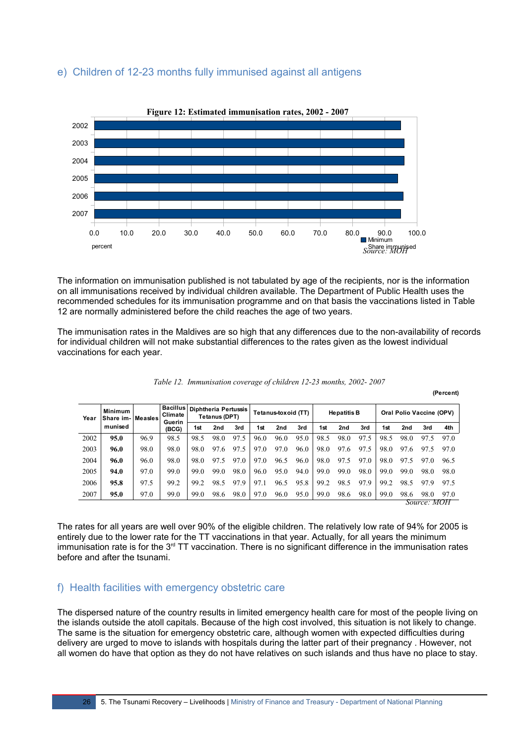# e) Children of 12-23 months fully immunised against all antigens



The information on immunisation published is not tabulated by age of the recipients, nor is the information on all immunisations received by individual children available. The Department of Public Health uses the recommended schedules for its immunisation programme and on that basis the vaccinations listed in Table 12 are normally administered before the child reaches the age of two years.

The immunisation rates in the Maldives are so high that any differences due to the non-availability of records for individual children will not make substantial differences to the rates given as the lowest individual vaccinations for each year.

| Year | <b>Minimum</b><br><b>Measles</b><br>Share im- |      | <b>Bacillus</b><br>Climate<br>Guerin | <b>Diphtheria Pertussis</b><br>Tetanus (DPT) |      |                 | Tetanus-toxoid (TT) |      | <b>Hepatitis B</b> |      |      | Oral Polio Vaccine (OPV) |      |      |             |      |
|------|-----------------------------------------------|------|--------------------------------------|----------------------------------------------|------|-----------------|---------------------|------|--------------------|------|------|--------------------------|------|------|-------------|------|
|      | munised                                       |      | (BCG)                                | 1st                                          | 2nd  | 3rd             | 1st                 | 2nd  | 3rd                | 1st  | 2nd  | 3rd                      | 1st  | 2nd  | 3rd         | 4th  |
| 2002 | 95.0                                          | 96.9 | 98.5                                 | 98.5                                         | 98.0 | 97<br>.5        | 96.0                | 96.0 | 95.0               | 98.5 | 98.0 | 97.5                     | 98.5 | 98.0 | 97          | 97.0 |
| 2003 | 96.0                                          | 98.0 | 98.0                                 | 98.0                                         | 97.6 | 97              | 97.0                | 97.0 | 96.0               | 98.0 | 97.6 | 97.5                     | 98.0 | 97.6 | 97.5        | 97.0 |
| 2004 | 96.0                                          | 96.0 | 98.0                                 | 98.0                                         | 97.5 | 97.0            | 97.0                | 96.5 | 96.0               | 98.0 | 97.5 | 97.0                     | 98.0 | 97.5 | 97.0        | 96.5 |
| 2005 | 94.0                                          | 97.0 | 99.0                                 | 99.0                                         | 99.0 | 98.0            | 96.0                | 95.0 | 94.0               | 99.0 | 99.0 | 98.0                     | 99.0 | 99.0 | 98.0        | 98.0 |
| 2006 | 95.8                                          | 97.5 | 99.2                                 | 99.2                                         | 98.5 | 97<br>$\cdot$ 9 | 97.1                | 96.5 | 95.8               | 99.2 | 98.5 | 97.9                     | 99.2 | 98.5 | 979         | 97.5 |
| 2007 | 95.0                                          | 97.0 | 99.0                                 | 99.0                                         | 98.6 | 98.0            | 97.0                | 96.0 | 95.0               | 99.0 | 98.6 | 98.0                     | 99.0 | 98.6 | 98.0        | 97.0 |
|      |                                               |      |                                      |                                              |      |                 |                     |      |                    |      |      |                          |      |      | Source: MOH |      |

*Table 12. Immunisation coverage of children 12-23 months, 2002- 2007*

**(Percent)**

The rates for all years are well over 90% of the eligible children. The relatively low rate of 94% for 2005 is entirely due to the lower rate for the TT vaccinations in that year. Actually, for all years the minimum immunisation rate is for the 3<sup>rd</sup> TT vaccination. There is no significant difference in the immunisation rates before and after the tsunami.

#### f) Health facilities with emergency obstetric care

The dispersed nature of the country results in limited emergency health care for most of the people living on the islands outside the atoll capitals. Because of the high cost involved, this situation is not likely to change. The same is the situation for emergency obstetric care, although women with expected difficulties during delivery are urged to move to islands with hospitals during the latter part of their pregnancy . However, not all women do have that option as they do not have relatives on such islands and thus have no place to stay.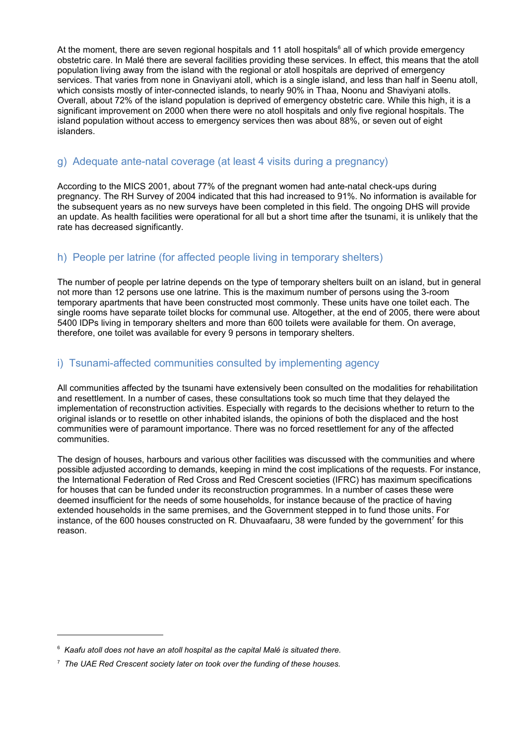At the moment, there are seven regional hospitals and 11 atoll hospitals<sup>[6](#page-26-0)</sup> all of which provide emergency obstetric care. In Malé there are several facilities providing these services. In effect, this means that the atoll population living away from the island with the regional or atoll hospitals are deprived of emergency services. That varies from none in Gnaviyani atoll, which is a single island, and less than half in Seenu atoll, which consists mostly of inter-connected islands, to nearly 90% in Thaa, Noonu and Shaviyani atolls. Overall, about 72% of the island population is deprived of emergency obstetric care. While this high, it is a significant improvement on 2000 when there were no atoll hospitals and only five regional hospitals. The island population without access to emergency services then was about 88%, or seven out of eight islanders.

# g) Adequate ante-natal coverage (at least 4 visits during a pregnancy)

According to the MICS 2001, about 77% of the pregnant women had ante-natal check-ups during pregnancy. The RH Survey of 2004 indicated that this had increased to 91%. No information is available for the subsequent years as no new surveys have been completed in this field. The ongoing DHS will provide an update. As health facilities were operational for all but a short time after the tsunami, it is unlikely that the rate has decreased significantly.

# h) People per latrine (for affected people living in temporary shelters)

The number of people per latrine depends on the type of temporary shelters built on an island, but in general not more than 12 persons use one latrine. This is the maximum number of persons using the 3-room temporary apartments that have been constructed most commonly. These units have one toilet each. The single rooms have separate toilet blocks for communal use. Altogether, at the end of 2005, there were about 5400 IDPs living in temporary shelters and more than 600 toilets were available for them. On average, therefore, one toilet was available for every 9 persons in temporary shelters.

# i) Tsunami-affected communities consulted by implementing agency

All communities affected by the tsunami have extensively been consulted on the modalities for rehabilitation and resettlement. In a number of cases, these consultations took so much time that they delayed the implementation of reconstruction activities. Especially with regards to the decisions whether to return to the original islands or to resettle on other inhabited islands, the opinions of both the displaced and the host communities were of paramount importance. There was no forced resettlement for any of the affected communities.

The design of houses, harbours and various other facilities was discussed with the communities and where possible adjusted according to demands, keeping in mind the cost implications of the requests. For instance, the International Federation of Red Cross and Red Crescent societies (IFRC) has maximum specifications for houses that can be funded under its reconstruction programmes. In a number of cases these were deemed insufficient for the needs of some households, for instance because of the practice of having extended households in the same premises, and the Government stepped in to fund those units. For instance, of the 600 houses constructed on R. Dhuvaafaaru, 38 were funded by the government<sup>[7](#page-26-1)</sup> for this reason.

<span id="page-26-0"></span><sup>6</sup>  *Kaafu atoll does not have an atoll hospital as the capital Malé is situated there.*

<span id="page-26-1"></span><sup>7</sup>  *The UAE Red Crescent society later on took over the funding of these houses.*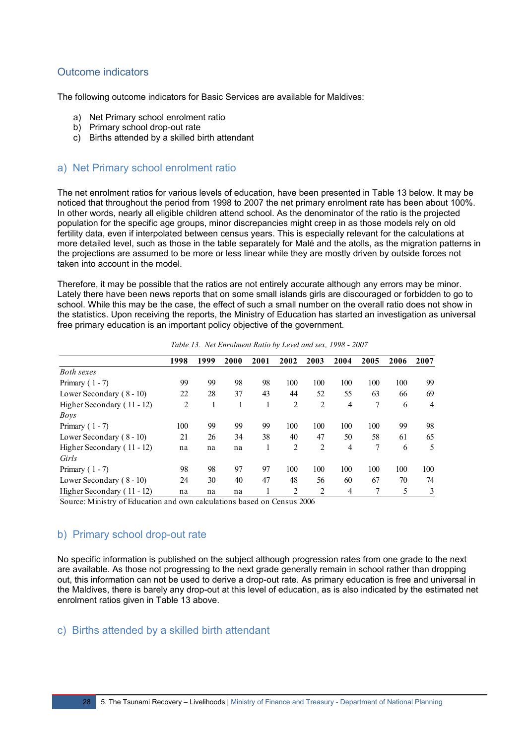# Outcome indicators

The following outcome indicators for Basic Services are available for Maldives:

- a) Net Primary school enrolment ratio
- b) Primary school drop-out rate
- c) Births attended by a skilled birth attendant

#### a) Net Primary school enrolment ratio

The net enrolment ratios for various levels of education, have been presented in Table 13 below. It may be noticed that throughout the period from 1998 to 2007 the net primary enrolment rate has been about 100%. In other words, nearly all eligible children attend school. As the denominator of the ratio is the projected population for the specific age groups, minor discrepancies might creep in as those models rely on old fertility data, even if interpolated between census years. This is especially relevant for the calculations at more detailed level, such as those in the table separately for Malé and the atolls, as the migration patterns in the projections are assumed to be more or less linear while they are mostly driven by outside forces not taken into account in the model.

Therefore, it may be possible that the ratios are not entirely accurate although any errors may be minor. Lately there have been news reports that on some small islands girls are discouraged or forbidden to go to school. While this may be the case, the effect of such a small number on the overall ratio does not show in the statistics. Upon receiving the reports, the Ministry of Education has started an investigation as universal free primary education is an important policy objective of the government.

|                            | 1998 | 1999 | 2000 | 2001 | 2002 | 2003 | 2004 | 2005 | 2006 | 2007           |
|----------------------------|------|------|------|------|------|------|------|------|------|----------------|
| <b>Both sexes</b>          |      |      |      |      |      |      |      |      |      |                |
| Primary $(1 - 7)$          | 99   | 99   | 98   | 98   | 100  | 100  | 100  | 100  | 100  | 99             |
| Lower Secondary (8 - 10)   | 22   | 28   | 37   | 43   | 44   | 52   | 55   | 63   | 66   | 69             |
| Higher Secondary (11 - 12) | 2    |      |      |      | 2    | 2    | 4    | 7    | 6    | $\overline{4}$ |
| Boys                       |      |      |      |      |      |      |      |      |      |                |
| Primary $(1 - 7)$          | 100  | 99   | 99   | 99   | 100  | 100  | 100  | 100  | 99   | 98             |
| Lower Secondary (8 - 10)   | 21   | 26   | 34   | 38   | 40   | 47   | 50   | 58   | 61   | 65             |
| Higher Secondary (11 - 12) | na   | na   | na   |      | 2    | 2    | 4    | 7    | 6    | 5              |
| Girls                      |      |      |      |      |      |      |      |      |      |                |
| Primary $(1 - 7)$          | 98   | 98   | 97   | 97   | 100  | 100  | 100  | 100  | 100  | 100            |
| Lower Secondary (8 - 10)   | 24   | 30   | 40   | 47   | 48   | 56   | 60   | 67   | 70   | 74             |
| Higher Secondary (11 - 12) | na   | na   | na   | -1   | 2    | 2    | 4    | 7    | 5    | 3              |

*Table 13. Net Enrolment Ratio by Level and sex, 1998 - 2007*

Source: Ministry of Education and own calculations based on Census 2006

#### b) Primary school drop-out rate

No specific information is published on the subject although progression rates from one grade to the next are available. As those not progressing to the next grade generally remain in school rather than dropping out, this information can not be used to derive a drop-out rate. As primary education is free and universal in the Maldives, there is barely any drop-out at this level of education, as is also indicated by the estimated net enrolment ratios given in Table 13 above.

#### c) Births attended by a skilled birth attendant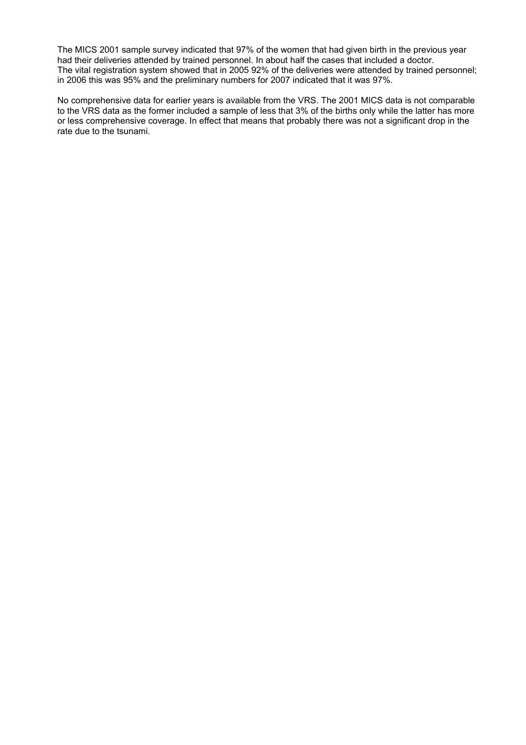The MICS 2001 sample survey indicated that 97% of the women that had given birth in the previous year had their deliveries attended by trained personnel. In about half the cases that included a doctor. The vital registration system showed that in 2005 92% of the deliveries were attended by trained personnel; in 2006 this was 95% and the preliminary numbers for 2007 indicated that it was 97%.

No comprehensive data for earlier years is available from the VRS. The 2001 MICS data is not comparable to the VRS data as the former included a sample of less that 3% of the births only while the latter has more or less comprehensive coverage. In effect that means that probably there was not a significant drop in the rate due to the tsunami.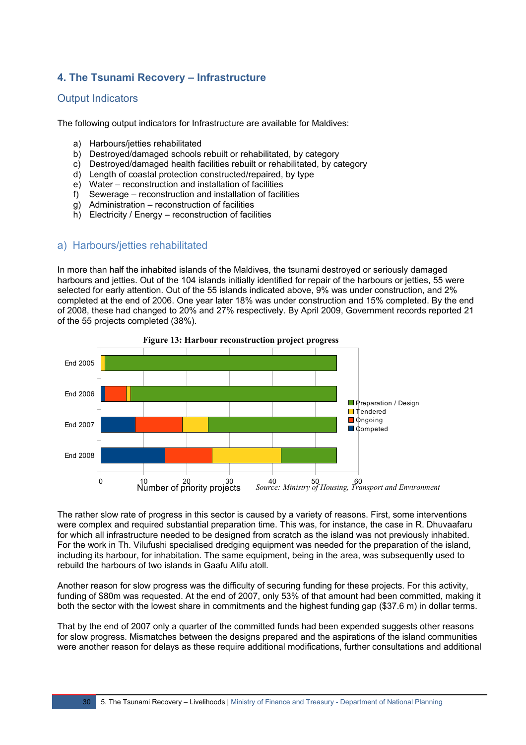# **4. The Tsunami Recovery – Infrastructure**

#### Output Indicators

The following output indicators for Infrastructure are available for Maldives:

- 
- a) Harbours/jetties rehabilitated<br>b) Destroyed/damaged schools Destroyed/damaged schools rebuilt or rehabilitated, by category
- c) Destroyed/damaged health facilities rebuilt or rehabilitated, by category
- d) Length of coastal protection constructed/repaired, by type
- e) Water reconstruction and installation of facilities
- f) Sewerage reconstruction and installation of facilities
- g) Administration reconstruction of facilities
- h) Electricity / Energy reconstruction of facilities

# a) Harbours/jetties rehabilitated

In more than half the inhabited islands of the Maldives, the tsunami destroyed or seriously damaged harbours and jetties. Out of the 104 islands initially identified for repair of the harbours or jetties, 55 were selected for early attention. Out of the 55 islands indicated above, 9% was under construction, and 2% completed at the end of 2006. One year later 18% was under construction and 15% completed. By the end of 2008, these had changed to 20% and 27% respectively. By April 2009, Government records reported 21 of the 55 projects completed (38%).



**Figure 13: Harbour reconstruction project progress**

The rather slow rate of progress in this sector is caused by a variety of reasons. First, some interventions were complex and required substantial preparation time. This was, for instance, the case in R. Dhuvaafaru for which all infrastructure needed to be designed from scratch as the island was not previously inhabited. For the work in Th. Vilufushi specialised dredging equipment was needed for the preparation of the island, including its harbour, for inhabitation. The same equipment, being in the area, was subsequently used to rebuild the harbours of two islands in Gaafu Alifu atoll.

Another reason for slow progress was the difficulty of securing funding for these projects. For this activity, funding of \$80m was requested. At the end of 2007, only 53% of that amount had been committed, making it both the sector with the lowest share in commitments and the highest funding gap (\$37.6 m) in dollar terms.

That by the end of 2007 only a quarter of the committed funds had been expended suggests other reasons for slow progress. Mismatches between the designs prepared and the aspirations of the island communities were another reason for delays as these require additional modifications, further consultations and additional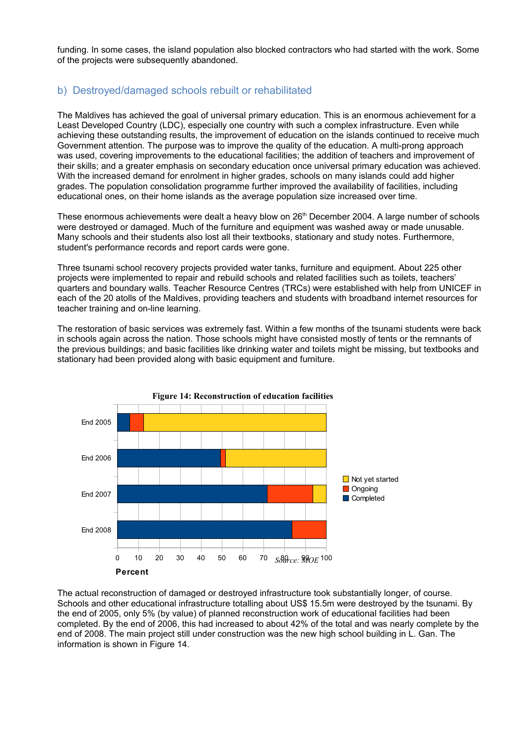funding. In some cases, the island population also blocked contractors who had started with the work. Some of the projects were subsequently abandoned.

#### b) Destroyed/damaged schools rebuilt or rehabilitated

The Maldives has achieved the goal of universal primary education. This is an enormous achievement for a Least Developed Country (LDC), especially one country with such a complex infrastructure. Even while achieving these outstanding results, the improvement of education on the islands continued to receive much Government attention. The purpose was to improve the quality of the education. A multi-prong approach was used, covering improvements to the educational facilities; the addition of teachers and improvement of their skills; and a greater emphasis on secondary education once universal primary education was achieved. With the increased demand for enrolment in higher grades, schools on many islands could add higher grades. The population consolidation programme further improved the availability of facilities, including educational ones, on their home islands as the average population size increased over time.

These enormous achievements were dealt a heavy blow on 26<sup>th</sup> December 2004. A large number of schools were destroyed or damaged. Much of the furniture and equipment was washed away or made unusable. Many schools and their students also lost all their textbooks, stationary and study notes. Furthermore, student's performance records and report cards were gone.

Three tsunami school recovery projects provided water tanks, furniture and equipment. About 225 other projects were implemented to repair and rebuild schools and related facilities such as toilets, teachers' quarters and boundary walls. Teacher Resource Centres (TRCs) were established with help from UNICEF in each of the 20 atolls of the Maldives, providing teachers and students with broadband internet resources for teacher training and on-line learning.

The restoration of basic services was extremely fast. Within a few months of the tsunami students were back in schools again across the nation. Those schools might have consisted mostly of tents or the remnants of the previous buildings; and basic facilities like drinking water and toilets might be missing, but textbooks and stationary had been provided along with basic equipment and furniture.



The actual reconstruction of damaged or destroyed infrastructure took substantially longer, of course. Schools and other educational infrastructure totalling about US\$ 15.5m were destroyed by the tsunami. By the end of 2005, only 5% (by value) of planned reconstruction work of educational facilities had been completed. By the end of 2006, this had increased to about 42% of the total and was nearly complete by the end of 2008. The main project still under construction was the new high school building in L. Gan. The information is shown in Figure 14.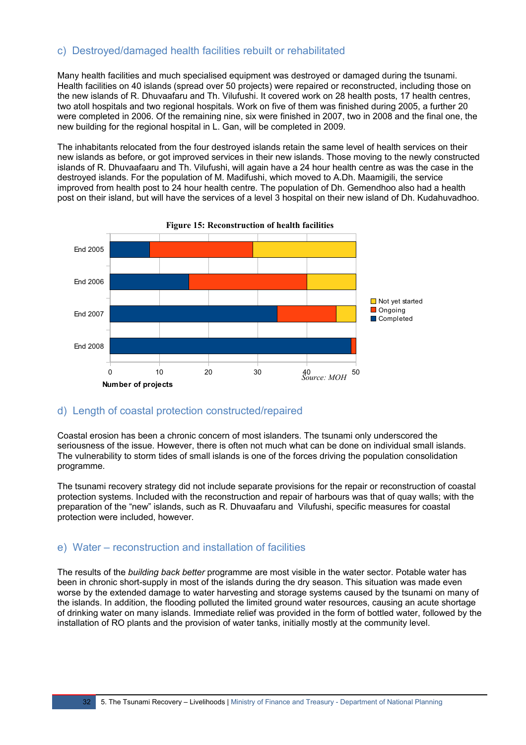#### c) Destroyed/damaged health facilities rebuilt or rehabilitated

Many health facilities and much specialised equipment was destroyed or damaged during the tsunami. Health facilities on 40 islands (spread over 50 projects) were repaired or reconstructed, including those on the new islands of R. Dhuvaafaru and Th. Vilufushi. It covered work on 28 health posts, 17 health centres, two atoll hospitals and two regional hospitals. Work on five of them was finished during 2005, a further 20 were completed in 2006. Of the remaining nine, six were finished in 2007, two in 2008 and the final one, the new building for the regional hospital in L. Gan, will be completed in 2009.

The inhabitants relocated from the four destroyed islands retain the same level of health services on their new islands as before, or got improved services in their new islands. Those moving to the newly constructed islands of R. Dhuvaafaaru and Th. Vilufushi, will again have a 24 hour health centre as was the case in the destroyed islands. For the population of M. Madifushi, which moved to A.Dh. Maamigili, the service improved from health post to 24 hour health centre. The population of Dh. Gemendhoo also had a health post on their island, but will have the services of a level 3 hospital on their new island of Dh. Kudahuvadhoo.



#### d) Length of coastal protection constructed/repaired

Coastal erosion has been a chronic concern of most islanders. The tsunami only underscored the seriousness of the issue. However, there is often not much what can be done on individual small islands. The vulnerability to storm tides of small islands is one of the forces driving the population consolidation programme.

The tsunami recovery strategy did not include separate provisions for the repair or reconstruction of coastal protection systems. Included with the reconstruction and repair of harbours was that of quay walls; with the preparation of the "new" islands, such as R. Dhuvaafaru and Vilufushi, specific measures for coastal protection were included, however.

#### e) Water – reconstruction and installation of facilities

The results of the *building back better* programme are most visible in the water sector. Potable water has been in chronic short-supply in most of the islands during the dry season. This situation was made even worse by the extended damage to water harvesting and storage systems caused by the tsunami on many of the islands. In addition, the flooding polluted the limited ground water resources, causing an acute shortage of drinking water on many islands. Immediate relief was provided in the form of bottled water, followed by the installation of RO plants and the provision of water tanks, initially mostly at the community level.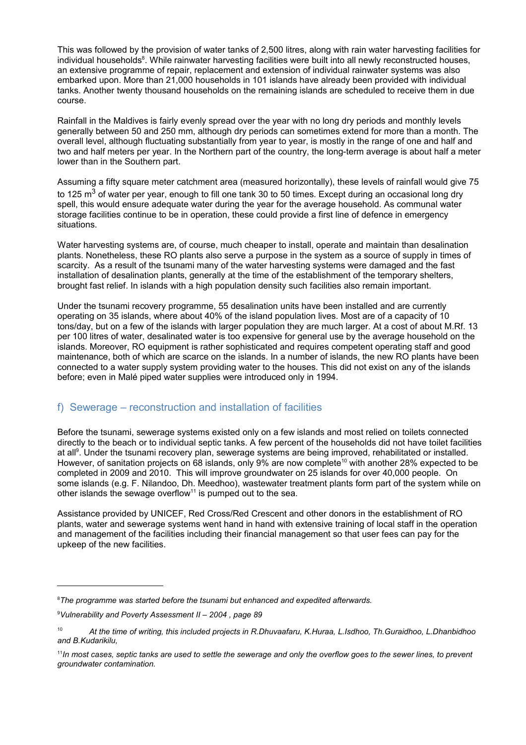This was followed by the provision of water tanks of 2,500 litres, along with rain water harvesting facilities for individual households<sup>[8](#page-32-0)</sup>. While rainwater harvesting facilities were built into all newly reconstructed houses, an extensive programme of repair, replacement and extension of individual rainwater systems was also embarked upon. More than 21,000 households in 101 islands have already been provided with individual tanks. Another twenty thousand households on the remaining islands are scheduled to receive them in due course.

Rainfall in the Maldives is fairly evenly spread over the year with no long dry periods and monthly levels generally between 50 and 250 mm, although dry periods can sometimes extend for more than a month. The overall level, although fluctuating substantially from year to year, is mostly in the range of one and half and two and half meters per year. In the Northern part of the country, the long-term average is about half a meter lower than in the Southern part.

Assuming a fifty square meter catchment area (measured horizontally), these levels of rainfall would give 75 to 125 m<sup>3</sup> of water per year, enough to fill one tank 30 to 50 times. Except during an occasional long dry spell, this would ensure adequate water during the year for the average household. As communal water storage facilities continue to be in operation, these could provide a first line of defence in emergency situations.

Water harvesting systems are, of course, much cheaper to install, operate and maintain than desalination plants. Nonetheless, these RO plants also serve a purpose in the system as a source of supply in times of scarcity. As a result of the tsunami many of the water harvesting systems were damaged and the fast installation of desalination plants, generally at the time of the establishment of the temporary shelters, brought fast relief. In islands with a high population density such facilities also remain important.

Under the tsunami recovery programme, 55 desalination units have been installed and are currently operating on 35 islands, where about 40% of the island population lives. Most are of a capacity of 10 tons/day, but on a few of the islands with larger population they are much larger. At a cost of about M.Rf. 13 per 100 litres of water, desalinated water is too expensive for general use by the average household on the islands. Moreover, RO equipment is rather sophisticated and requires competent operating staff and good maintenance, both of which are scarce on the islands. In a number of islands, the new RO plants have been connected to a water supply system providing water to the houses. This did not exist on any of the islands before; even in Malé piped water supplies were introduced only in 1994.

#### f) Sewerage – reconstruction and installation of facilities

Before the tsunami, sewerage systems existed only on a few islands and most relied on toilets connected directly to the beach or to individual septic tanks. A few percent of the households did not have toilet facilities at all<sup>[9](#page-32-1)</sup>. Under the tsunami recovery plan, sewerage systems are being improved, rehabilitated or installed. However, of sanitation projects on 68 islands, only 9% are now complete<sup>[10](#page-32-2)</sup> with another 28% expected to be completed in 2009 and 2010. This will improve groundwater on 25 islands for over 40,000 people. On some islands (e.g. F. Nilandoo, Dh. Meedhoo), wastewater treatment plants form part of the system while on other islands the sewage overflow<sup>[11](#page-32-3)</sup> is pumped out to the sea.

Assistance provided by UNICEF, Red Cross/Red Crescent and other donors in the establishment of RO plants, water and sewerage systems went hand in hand with extensive training of local staff in the operation and management of the facilities including their financial management so that user fees can pay for the upkeep of the new facilities.

<span id="page-32-0"></span><sup>8</sup>*The programme was started before the tsunami but enhanced and expedited afterwards.*

<span id="page-32-1"></span><sup>9</sup>*Vulnerability and Poverty Assessment II – 2004 , page 89*

<span id="page-32-2"></span><sup>10</sup> *At the time of writing, this included projects in R.Dhuvaafaru, K.Huraa, L.Isdhoo, Th.Guraidhoo, L.Dhanbidhoo and B.Kudarikilu,* 

<span id="page-32-3"></span><sup>11</sup>*In most cases, septic tanks are used to settle the sewerage and only the overflow goes to the sewer lines, to prevent groundwater contamination.*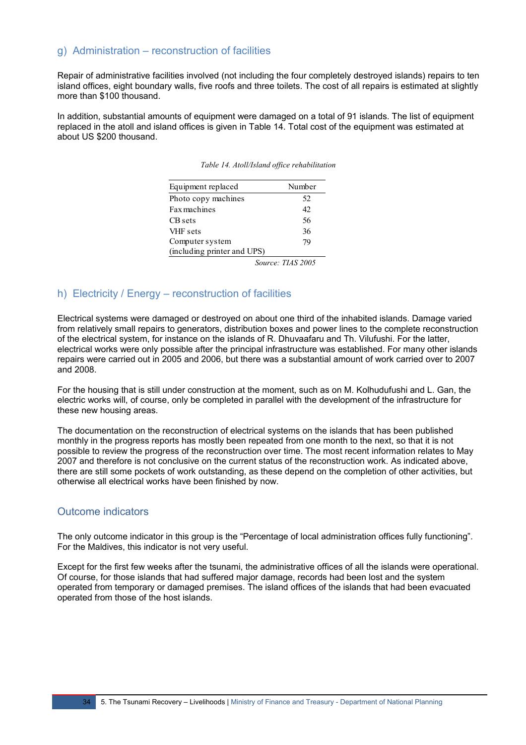#### g) Administration – reconstruction of facilities

Repair of administrative facilities involved (not including the four completely destroyed islands) repairs to ten island offices, eight boundary walls, five roofs and three toilets. The cost of all repairs is estimated at slightly more than \$100 thousand.

In addition, substantial amounts of equipment were damaged on a total of 91 islands. The list of equipment replaced in the atoll and island offices is given in Table 14. Total cost of the equipment was estimated at about US \$200 thousand.

| Equipment replaced          | Number |
|-----------------------------|--------|
| Photo copy machines         | 52     |
|                             |        |
| Fax machines                | 42     |
| CB sets                     | 56     |
| VHF sets                    | 36     |
| Computer system             | 79     |
| (including printer and UPS) |        |
|                             |        |

*Source: TIAS 2005*

#### h) Electricity / Energy – reconstruction of facilities

Electrical systems were damaged or destroyed on about one third of the inhabited islands. Damage varied from relatively small repairs to generators, distribution boxes and power lines to the complete reconstruction of the electrical system, for instance on the islands of R. Dhuvaafaru and Th. Vilufushi. For the latter, electrical works were only possible after the principal infrastructure was established. For many other islands repairs were carried out in 2005 and 2006, but there was a substantial amount of work carried over to 2007 and 2008.

For the housing that is still under construction at the moment, such as on M. Kolhudufushi and L. Gan, the electric works will, of course, only be completed in parallel with the development of the infrastructure for these new housing areas.

The documentation on the reconstruction of electrical systems on the islands that has been published monthly in the progress reports has mostly been repeated from one month to the next, so that it is not possible to review the progress of the reconstruction over time. The most recent information relates to May 2007 and therefore is not conclusive on the current status of the reconstruction work. As indicated above, there are still some pockets of work outstanding, as these depend on the completion of other activities, but otherwise all electrical works have been finished by now.

#### Outcome indicators

The only outcome indicator in this group is the "Percentage of local administration offices fully functioning". For the Maldives, this indicator is not very useful.

Except for the first few weeks after the tsunami, the administrative offices of all the islands were operational. Of course, for those islands that had suffered major damage, records had been lost and the system operated from temporary or damaged premises. The island offices of the islands that had been evacuated operated from those of the host islands.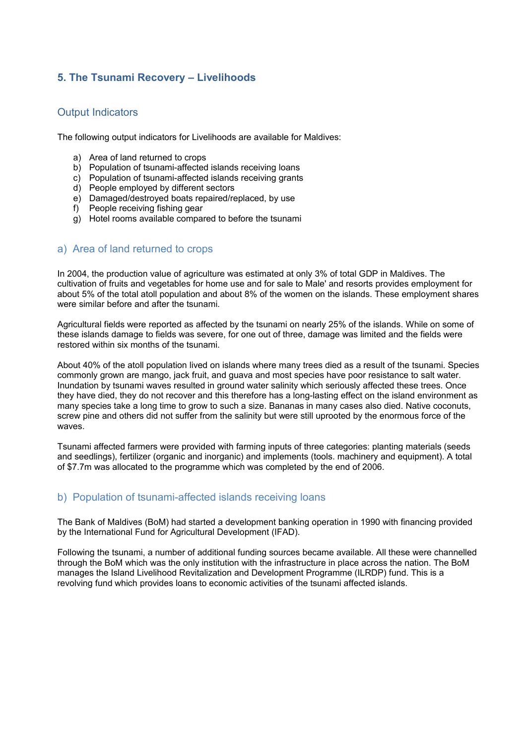# **5. The Tsunami Recovery – Livelihoods**

# Output Indicators

The following output indicators for Livelihoods are available for Maldives:

- a) Area of land returned to crops
- b) Population of tsunami-affected islands receiving loans
- c) Population of tsunami-affected islands receiving grants
- d) People employed by different sectors
- e) Damaged/destroyed boats repaired/replaced, by use
- f) People receiving fishing gear
- g) Hotel rooms available compared to before the tsunami

#### a) Area of land returned to crops

In 2004, the production value of agriculture was estimated at only 3% of total GDP in Maldives. The cultivation of fruits and vegetables for home use and for sale to Male' and resorts provides employment for about 5% of the total atoll population and about 8% of the women on the islands. These employment shares were similar before and after the tsunami.

Agricultural fields were reported as affected by the tsunami on nearly 25% of the islands. While on some of these islands damage to fields was severe, for one out of three, damage was limited and the fields were restored within six months of the tsunami.

About 40% of the atoll population lived on islands where many trees died as a result of the tsunami. Species commonly grown are mango, jack fruit, and guava and most species have poor resistance to salt water. Inundation by tsunami waves resulted in ground water salinity which seriously affected these trees. Once they have died, they do not recover and this therefore has a long-lasting effect on the island environment as many species take a long time to grow to such a size. Bananas in many cases also died. Native coconuts, screw pine and others did not suffer from the salinity but were still uprooted by the enormous force of the waves.

Tsunami affected farmers were provided with farming inputs of three categories: planting materials (seeds and seedlings), fertilizer (organic and inorganic) and implements (tools. machinery and equipment). A total of \$7.7m was allocated to the programme which was completed by the end of 2006.

# b) Population of tsunami-affected islands receiving loans

The Bank of Maldives (BoM) had started a development banking operation in 1990 with financing provided by the International Fund for Agricultural Development (IFAD).

Following the tsunami, a number of additional funding sources became available. All these were channelled through the BoM which was the only institution with the infrastructure in place across the nation. The BoM manages the Island Livelihood Revitalization and Development Programme (ILRDP) fund. This is a revolving fund which provides loans to economic activities of the tsunami affected islands.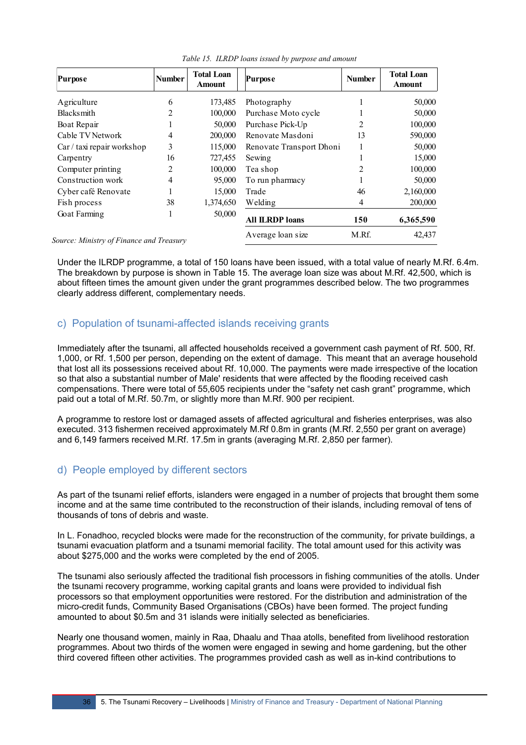| <b>Purpose</b>                           | <b>Number</b> | <b>Total Loan</b><br><b>Amount</b> | <b>Purpose</b>           | <b>Number</b> | <b>Total Loan</b><br>Amount |
|------------------------------------------|---------------|------------------------------------|--------------------------|---------------|-----------------------------|
| Agriculture                              | 6             | 173,485                            | Photography              |               | 50,000                      |
| <b>Blacksmith</b>                        | 2             | 100,000                            | Purchase Moto cycle      |               | 50,000                      |
| Boat Repair                              |               | 50,000                             | Purchase Pick-Up         | 2             | 100,000                     |
| Cable TV Network                         | 4             | 200,000                            | Renovate Masdoni         | 13            | 590,000                     |
| $Car / taxi$ repair workshop             | 3             | 115,000                            | Renovate Transport Dhoni | Ι.            | 50,000                      |
| Carpentry                                | 16            | 727,455                            | Sewing                   |               | 15,000                      |
| Computer printing                        | 2             | 100,000                            | Tea shop                 | 2             | 100,000                     |
| Construction work                        | 4             | 95,000                             | To run pharmacy          |               | 50,000                      |
| Cyber café Renovate                      |               | 15,000                             | Trade                    | 46            | 2,160,000                   |
| Fish process                             | 38            | 1,374,650                          | Welding                  | 4             | 200,000                     |
| Goat Farming                             | 1             | 50,000                             | <b>All ILRDP loans</b>   | 150           | 6,365,590                   |
| Source: Ministry of Finance and Treasury |               |                                    | Average loan size        | M.Rf.         | 42,437                      |

*Table 15. ILRDP loans issued by purpose and amount*

Under the ILRDP programme, a total of 150 loans have been issued, with a total value of nearly M.Rf. 6.4m. The breakdown by purpose is shown in Table 15. The average loan size was about M.Rf. 42,500, which is about fifteen times the amount given under the grant programmes described below. The two programmes clearly address different, complementary needs.

#### c) Population of tsunami-affected islands receiving grants

Immediately after the tsunami, all affected households received a government cash payment of Rf. 500, Rf. 1,000, or Rf. 1,500 per person, depending on the extent of damage. This meant that an average household that lost all its possessions received about Rf. 10,000. The payments were made irrespective of the location so that also a substantial number of Male' residents that were affected by the flooding received cash compensations. There were total of 55,605 recipients under the "safety net cash grant" programme, which paid out a total of M.Rf. 50.7m, or slightly more than M.Rf. 900 per recipient.

A programme to restore lost or damaged assets of affected agricultural and fisheries enterprises, was also executed. 313 fishermen received approximately M.Rf 0.8m in grants (M.Rf. 2,550 per grant on average) and 6,149 farmers received M.Rf. 17.5m in grants (averaging M.Rf. 2,850 per farmer).

# d) People employed by different sectors

As part of the tsunami relief efforts, islanders were engaged in a number of projects that brought them some income and at the same time contributed to the reconstruction of their islands, including removal of tens of thousands of tons of debris and waste.

In L. Fonadhoo, recycled blocks were made for the reconstruction of the community, for private buildings, a tsunami evacuation platform and a tsunami memorial facility. The total amount used for this activity was about \$275,000 and the works were completed by the end of 2005.

The tsunami also seriously affected the traditional fish processors in fishing communities of the atolls. Under the tsunami recovery programme, working capital grants and loans were provided to individual fish processors so that employment opportunities were restored. For the distribution and administration of the micro-credit funds, Community Based Organisations (CBOs) have been formed. The project funding amounted to about \$0.5m and 31 islands were initially selected as beneficiaries.

Nearly one thousand women, mainly in Raa, Dhaalu and Thaa atolls, benefited from livelihood restoration programmes. About two thirds of the women were engaged in sewing and home gardening, but the other third covered fifteen other activities. The programmes provided cash as well as in-kind contributions to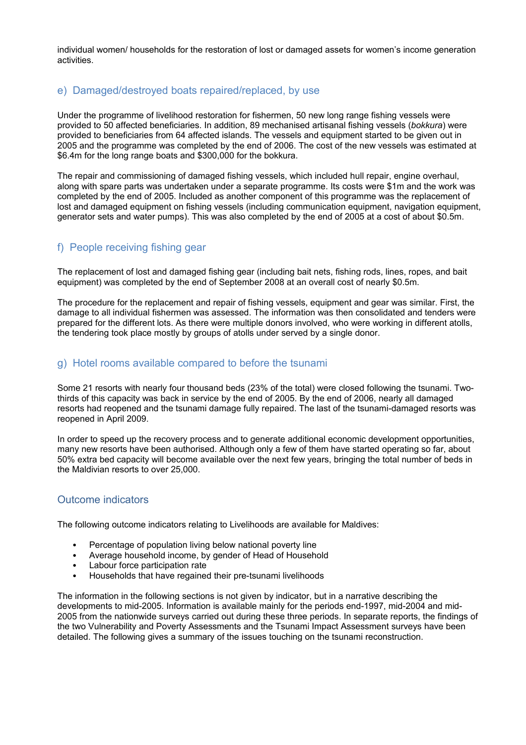individual women/ households for the restoration of lost or damaged assets for women's income generation activities.

#### e) Damaged/destroyed boats repaired/replaced, by use

Under the programme of livelihood restoration for fishermen, 50 new long range fishing vessels were provided to 50 affected beneficiaries. In addition, 89 mechanised artisanal fishing vessels (*bokkura*) were provided to beneficiaries from 64 affected islands. The vessels and equipment started to be given out in 2005 and the programme was completed by the end of 2006. The cost of the new vessels was estimated at \$6.4m for the long range boats and \$300,000 for the bokkura.

The repair and commissioning of damaged fishing vessels, which included hull repair, engine overhaul, along with spare parts was undertaken under a separate programme. Its costs were \$1m and the work was completed by the end of 2005. Included as another component of this programme was the replacement of lost and damaged equipment on fishing vessels (including communication equipment, navigation equipment, generator sets and water pumps). This was also completed by the end of 2005 at a cost of about \$0.5m.

# f) People receiving fishing gear

The replacement of lost and damaged fishing gear (including bait nets, fishing rods, lines, ropes, and bait equipment) was completed by the end of September 2008 at an overall cost of nearly \$0.5m.

The procedure for the replacement and repair of fishing vessels, equipment and gear was similar. First, the damage to all individual fishermen was assessed. The information was then consolidated and tenders were prepared for the different lots. As there were multiple donors involved, who were working in different atolls, the tendering took place mostly by groups of atolls under served by a single donor.

#### g) Hotel rooms available compared to before the tsunami

Some 21 resorts with nearly four thousand beds (23% of the total) were closed following the tsunami. Twothirds of this capacity was back in service by the end of 2005. By the end of 2006, nearly all damaged resorts had reopened and the tsunami damage fully repaired. The last of the tsunami-damaged resorts was reopened in April 2009.

In order to speed up the recovery process and to generate additional economic development opportunities, many new resorts have been authorised. Although only a few of them have started operating so far, about 50% extra bed capacity will become available over the next few years, bringing the total number of beds in the Maldivian resorts to over 25,000.

#### Outcome indicators

The following outcome indicators relating to Livelihoods are available for Maldives:

- Percentage of population living below national poverty line
- Average household income, by gender of Head of Household
- Labour force participation rate
- Households that have regained their pre-tsunami livelihoods

The information in the following sections is not given by indicator, but in a narrative describing the developments to mid-2005. Information is available mainly for the periods end-1997, mid-2004 and mid-2005 from the nationwide surveys carried out during these three periods. In separate reports, the findings of the two Vulnerability and Poverty Assessments and the Tsunami Impact Assessment surveys have been detailed. The following gives a summary of the issues touching on the tsunami reconstruction.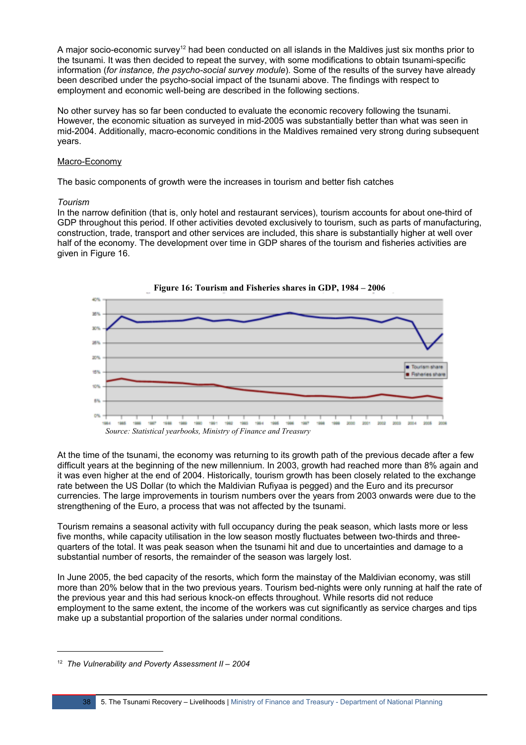A major socio-economic survey<sup>[12](#page-37-0)</sup> had been conducted on all islands in the Maldives just six months prior to the tsunami. It was then decided to repeat the survey, with some modifications to obtain tsunami-specific information (*for instance, the psycho-social survey module*). Some of the results of the survey have already been described under the psycho-social impact of the tsunami above. The findings with respect to employment and economic well-being are described in the following sections.

No other survey has so far been conducted to evaluate the economic recovery following the tsunami. However, the economic situation as surveyed in mid-2005 was substantially better than what was seen in mid-2004. Additionally, macro-economic conditions in the Maldives remained very strong during subsequent years.

#### Macro-Economy

The basic components of growth were the increases in tourism and better fish catches

#### *Tourism*

In the narrow definition (that is, only hotel and restaurant services), tourism accounts for about one-third of GDP throughout this period. If other activities devoted exclusively to tourism, such as parts of manufacturing, construction, trade, transport and other services are included, this share is substantially higher at well over half of the economy. The development over time in GDP shares of the tourism and fisheries activities are given in Figure 16.



At the time of the tsunami, the economy was returning to its growth path of the previous decade after a few difficult years at the beginning of the new millennium. In 2003, growth had reached more than 8% again and it was even higher at the end of 2004. Historically, tourism growth has been closely related to the exchange rate between the US Dollar (to which the Maldivian Rufiyaa is pegged) and the Euro and its precursor currencies. The large improvements in tourism numbers over the years from 2003 onwards were due to the strengthening of the Euro, a process that was not affected by the tsunami.

Tourism remains a seasonal activity with full occupancy during the peak season, which lasts more or less five months, while capacity utilisation in the low season mostly fluctuates between two-thirds and threequarters of the total. It was peak season when the tsunami hit and due to uncertainties and damage to a substantial number of resorts, the remainder of the season was largely lost.

In June 2005, the bed capacity of the resorts, which form the mainstay of the Maldivian economy, was still more than 20% below that in the two previous years. Tourism bed-nights were only running at half the rate of the previous year and this had serious knock-on effects throughout. While resorts did not reduce employment to the same extent, the income of the workers was cut significantly as service charges and tips make up a substantial proportion of the salaries under normal conditions.

<span id="page-37-0"></span><sup>12</sup> *The Vulnerability and Poverty Assessment II – 2004*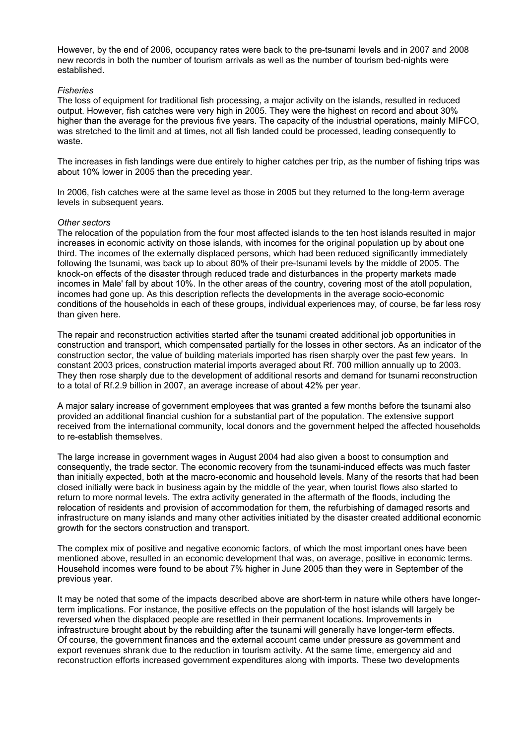However, by the end of 2006, occupancy rates were back to the pre-tsunami levels and in 2007 and 2008 new records in both the number of tourism arrivals as well as the number of tourism bed-nights were established.

#### *Fisheries*

The loss of equipment for traditional fish processing, a major activity on the islands, resulted in reduced output. However, fish catches were very high in 2005. They were the highest on record and about 30% higher than the average for the previous five years. The capacity of the industrial operations, mainly MIFCO, was stretched to the limit and at times, not all fish landed could be processed, leading consequently to waste.

The increases in fish landings were due entirely to higher catches per trip, as the number of fishing trips was about 10% lower in 2005 than the preceding year.

In 2006, fish catches were at the same level as those in 2005 but they returned to the long-term average levels in subsequent years.

#### *Other sectors*

The relocation of the population from the four most affected islands to the ten host islands resulted in major increases in economic activity on those islands, with incomes for the original population up by about one third. The incomes of the externally displaced persons, which had been reduced significantly immediately following the tsunami, was back up to about 80% of their pre-tsunami levels by the middle of 2005. The knock-on effects of the disaster through reduced trade and disturbances in the property markets made incomes in Male' fall by about 10%. In the other areas of the country, covering most of the atoll population, incomes had gone up. As this description reflects the developments in the average socio-economic conditions of the households in each of these groups, individual experiences may, of course, be far less rosy than given here.

The repair and reconstruction activities started after the tsunami created additional job opportunities in construction and transport, which compensated partially for the losses in other sectors. As an indicator of the construction sector, the value of building materials imported has risen sharply over the past few years. In constant 2003 prices, construction material imports averaged about Rf. 700 million annually up to 2003. They then rose sharply due to the development of additional resorts and demand for tsunami reconstruction to a total of Rf.2.9 billion in 2007, an average increase of about 42% per year.

A major salary increase of government employees that was granted a few months before the tsunami also provided an additional financial cushion for a substantial part of the population. The extensive support received from the international community, local donors and the government helped the affected households to re-establish themselves.

The large increase in government wages in August 2004 had also given a boost to consumption and consequently, the trade sector. The economic recovery from the tsunami-induced effects was much faster than initially expected, both at the macro-economic and household levels. Many of the resorts that had been closed initially were back in business again by the middle of the year, when tourist flows also started to return to more normal levels. The extra activity generated in the aftermath of the floods, including the relocation of residents and provision of accommodation for them, the refurbishing of damaged resorts and infrastructure on many islands and many other activities initiated by the disaster created additional economic growth for the sectors construction and transport.

The complex mix of positive and negative economic factors, of which the most important ones have been mentioned above, resulted in an economic development that was, on average, positive in economic terms. Household incomes were found to be about 7% higher in June 2005 than they were in September of the previous year.

It may be noted that some of the impacts described above are short-term in nature while others have longerterm implications. For instance, the positive effects on the population of the host islands will largely be reversed when the displaced people are resettled in their permanent locations. Improvements in infrastructure brought about by the rebuilding after the tsunami will generally have longer-term effects. Of course, the government finances and the external account came under pressure as government and export revenues shrank due to the reduction in tourism activity. At the same time, emergency aid and reconstruction efforts increased government expenditures along with imports. These two developments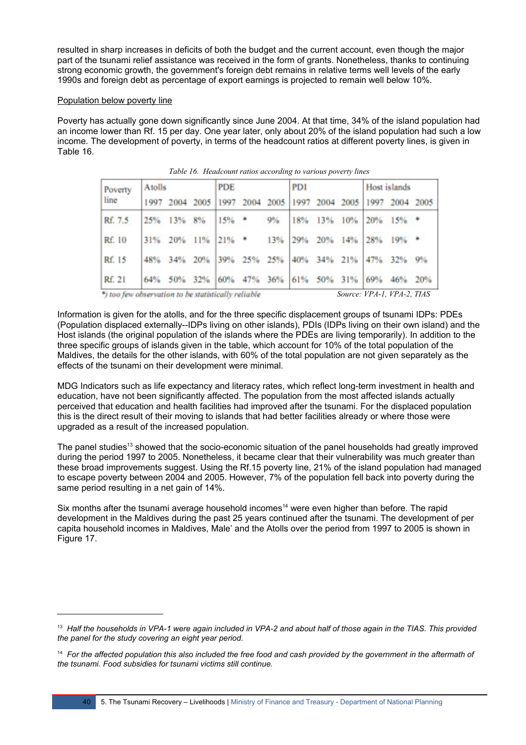resulted in sharp increases in deficits of both the budget and the current account, even though the major part of the tsunami relief assistance was received in the form of grants. Nonetheless, thanks to continuing strong economic growth, the government's foreign debt remains in relative terms well levels of the early 1990s and foreign debt as percentage of export earnings is projected to remain well below 10%.

#### Population below poverty line

Poverty has actually gone down significantly since June 2004. At that time, 34% of the island population had an income lower than Rf. 15 per day. One year later, only about 20% of the island population had such a low income. The development of poverty, in terms of the headcount ratios at different poverty lines, is given in Table 16.

| Poverty                                             | <b>Atolls</b> |         |      | <b>PDE</b> |         |      | <b>PDI</b>  |             |           | Host islands |                            |     |
|-----------------------------------------------------|---------------|---------|------|------------|---------|------|-------------|-------------|-----------|--------------|----------------------------|-----|
| line                                                | 1997          | 2004    | 2005 | 997        | 2004    | 2005 | 1997        |             | 2004 2005 | 1997         | 2004 2005                  |     |
| Rf. 7.5                                             | 25%           | 13%     | 8%   | $15%$ *    |         | 9%   | 18%         | 13%         | 10%       | 20%          | $15%$ *                    |     |
| Rf. 10                                              | 31%           | 20%     | 11%  | $21\%$ *   |         | 13%  | 29%         | 20%         | 14%       | 28%          | $19%$ *                    |     |
| Rf. 15                                              |               | 48% 34% | 20%  | 39%        | 25% 25% |      |             | 40% 34% 21% |           | 47%          | 32% 9%                     |     |
| Rf. 21                                              |               | 64% 50% | 32%  | 60%        | 47% 36% |      | 61% 50% 31% |             |           | 69%          | 46%                        | 20% |
| *) too few observation to be statistically reliable |               |         |      |            |         |      |             |             |           |              | Source: VPA-1, VPA-2, TIAS |     |

| Table 16. Headcount ratios according to various poverty lines |  |  |  |
|---------------------------------------------------------------|--|--|--|
|                                                               |  |  |  |

Information is given for the atolls, and for the three specific displacement groups of tsunami IDPs: PDEs (Population displaced externally--IDPs living on other islands), PDIs (IDPs living on their own island) and the Host islands (the original population of the islands where the PDEs are living temporarily). In addition to the three specific groups of islands given in the table, which account for 10% of the total population of the Maldives, the details for the other islands, with 60% of the total population are not given separately as the effects of the tsunami on their development were minimal.

MDG Indicators such as life expectancy and literacy rates, which reflect long-term investment in health and education, have not been significantly affected. The population from the most affected islands actually perceived that education and health facilities had improved after the tsunami. For the displaced population this is the direct result of their moving to islands that had better facilities already or where those were upgraded as a result of the increased population.

The panel studies<sup>[13](#page-39-0)</sup> showed that the socio-economic situation of the panel households had greatly improved during the period 1997 to 2005. Nonetheless, it became clear that their vulnerability was much greater than these broad improvements suggest. Using the Rf.15 poverty line, 21% of the island population had managed to escape poverty between 2004 and 2005. However, 7% of the population fell back into poverty during the same period resulting in a net gain of 14%.

Six months after the tsunami average household incomes<sup>[14](#page-39-1)</sup> were even higher than before. The rapid development in the Maldives during the past 25 years continued after the tsunami. The development of per capita household incomes in Maldives, Male' and the Atolls over the period from 1997 to 2005 is shown in Figure 17.

<span id="page-39-0"></span><sup>13</sup> *Half the households in VPA-1 were again included in VPA-2 and about half of those again in the TIAS. This provided the panel for the study covering an eight year period.*

<span id="page-39-1"></span><sup>&</sup>lt;sup>14</sup> For the affected population this also included the free food and cash provided by the government in the aftermath of *the tsunami. Food subsidies for tsunami victims still continue.*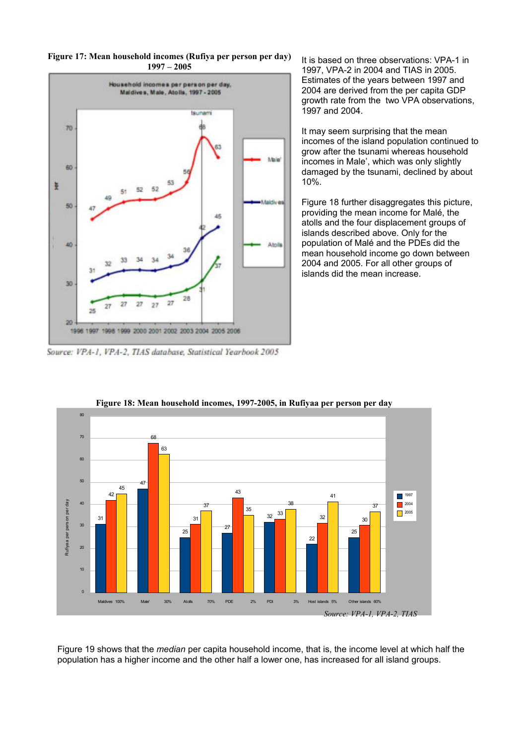

**Figure 17: Mean household incomes (Rufiya per person per day) 1997 – 2005**

Source: VPA-1, VPA-2, TIAS database, Statistical Yearbook 2005

It is based on three observations: VPA-1 in 1997, VPA-2 in 2004 and TIAS in 2005. Estimates of the years between 1997 and 2004 are derived from the per capita GDP growth rate from the two VPA observations, 1997 and 2004.

It may seem surprising that the mean incomes of the island population continued to grow after the tsunami whereas household incomes in Male', which was only slightly damaged by the tsunami, declined by about 10%.

Figure 18 further disaggregates this picture, providing the mean income for Malé, the atolls and the four displacement groups of islands described above. Only for the population of Malé and the PDEs did the mean household income go down between 2004 and 2005. For all other groups of islands did the mean increase.



**Figure 18: Mean household incomes, 1997-2005, in Rufiyaa per person per day**

Figure 19 shows that the *median* per capita household income, that is, the income level at which half the population has a higher income and the other half a lower one, has increased for all island groups.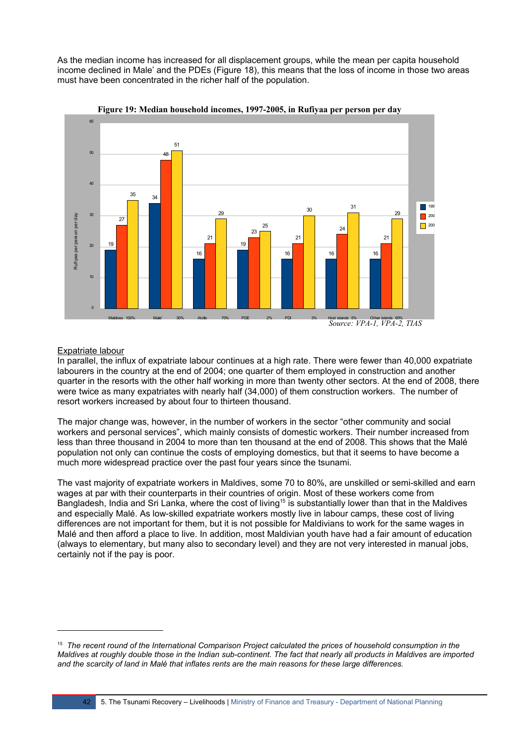As the median income has increased for all displacement groups, while the mean per capita household income declined in Male' and the PDEs (Figure 18), this means that the loss of income in those two areas must have been concentrated in the richer half of the population.



**Figure 19: Median household incomes, 1997-2005, in Rufiyaa per person per day**

#### Expatriate labour

In parallel, the influx of expatriate labour continues at a high rate. There were fewer than 40,000 expatriate labourers in the country at the end of 2004; one quarter of them employed in construction and another quarter in the resorts with the other half working in more than twenty other sectors. At the end of 2008, there were twice as many expatriates with nearly half (34,000) of them construction workers. The number of resort workers increased by about four to thirteen thousand.

The major change was, however, in the number of workers in the sector "other community and social workers and personal services", which mainly consists of domestic workers. Their number increased from less than three thousand in 2004 to more than ten thousand at the end of 2008. This shows that the Malé population not only can continue the costs of employing domestics, but that it seems to have become a much more widespread practice over the past four years since the tsunami.

The vast majority of expatriate workers in Maldives, some 70 to 80%, are unskilled or semi-skilled and earn wages at par with their counterparts in their countries of origin. Most of these workers come from Bangladesh, India and Sri Lanka, where the cost of living<sup>[15](#page-41-0)</sup> is substantially lower than that in the Maldives and especially Malé. As low-skilled expatriate workers mostly live in labour camps, these cost of living differences are not important for them, but it is not possible for Maldivians to work for the same wages in Malé and then afford a place to live. In addition, most Maldivian youth have had a fair amount of education (always to elementary, but many also to secondary level) and they are not very interested in manual jobs, certainly not if the pay is poor.

<span id="page-41-0"></span><sup>15</sup> *The recent round of the International Comparison Project calculated the prices of household consumption in the Maldives at roughly double those in the Indian sub-continent. The fact that nearly all products in Maldives are imported and the scarcity of land in Malé that inflates rents are the main reasons for these large differences.*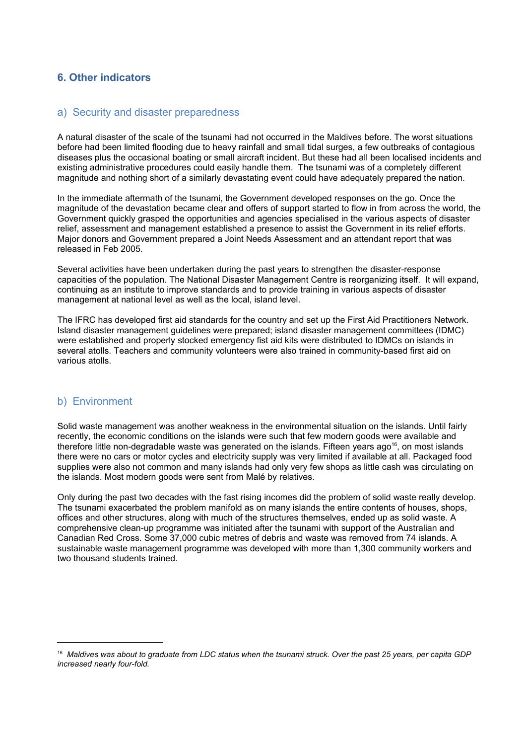# **6. Other indicators**

#### a) Security and disaster preparedness

A natural disaster of the scale of the tsunami had not occurred in the Maldives before. The worst situations before had been limited flooding due to heavy rainfall and small tidal surges, a few outbreaks of contagious diseases plus the occasional boating or small aircraft incident. But these had all been localised incidents and existing administrative procedures could easily handle them. The tsunami was of a completely different magnitude and nothing short of a similarly devastating event could have adequately prepared the nation.

In the immediate aftermath of the tsunami, the Government developed responses on the go. Once the magnitude of the devastation became clear and offers of support started to flow in from across the world, the Government quickly grasped the opportunities and agencies specialised in the various aspects of disaster relief, assessment and management established a presence to assist the Government in its relief efforts. Major donors and Government prepared a Joint Needs Assessment and an attendant report that was released in Feb 2005.

Several activities have been undertaken during the past years to strengthen the disaster-response capacities of the population. The National Disaster Management Centre is reorganizing itself. It will expand, continuing as an institute to improve standards and to provide training in various aspects of disaster management at national level as well as the local, island level.

The IFRC has developed first aid standards for the country and set up the First Aid Practitioners Network. Island disaster management guidelines were prepared; island disaster management committees (IDMC) were established and properly stocked emergency fist aid kits were distributed to IDMCs on islands in several atolls. Teachers and community volunteers were also trained in community-based first aid on various atolls.

#### b) Environment

Solid waste management was another weakness in the environmental situation on the islands. Until fairly recently, the economic conditions on the islands were such that few modern goods were available and therefore little non-degradable waste was generated on the islands. Fifteen years ago<sup>[16](#page-42-0)</sup>, on most islands there were no cars or motor cycles and electricity supply was very limited if available at all. Packaged food supplies were also not common and many islands had only very few shops as little cash was circulating on the islands. Most modern goods were sent from Malé by relatives.

Only during the past two decades with the fast rising incomes did the problem of solid waste really develop. The tsunami exacerbated the problem manifold as on many islands the entire contents of houses, shops, offices and other structures, along with much of the structures themselves, ended up as solid waste. A comprehensive clean-up programme was initiated after the tsunami with support of the Australian and Canadian Red Cross. Some 37,000 cubic metres of debris and waste was removed from 74 islands. A sustainable waste management programme was developed with more than 1,300 community workers and two thousand students trained.

<span id="page-42-0"></span><sup>16</sup> *Maldives was about to graduate from LDC status when the tsunami struck. Over the past 25 years, per capita GDP increased nearly four-fold.*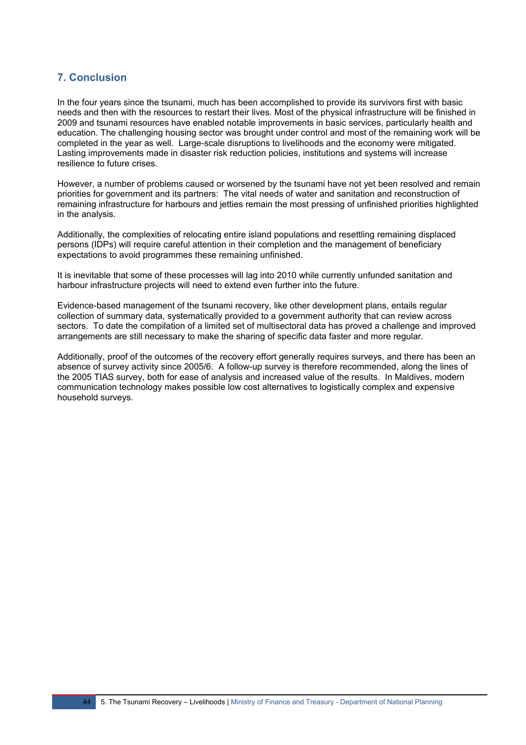# **7. Conclusion**

In the four years since the tsunami, much has been accomplished to provide its survivors first with basic needs and then with the resources to restart their lives. Most of the physical infrastructure will be finished in 2009 and tsunami resources have enabled notable improvements in basic services, particularly health and education. The challenging housing sector was brought under control and most of the remaining work will be completed in the year as well. Large-scale disruptions to livelihoods and the economy were mitigated. Lasting improvements made in disaster risk reduction policies, institutions and systems will increase resilience to future crises.

However, a number of problems caused or worsened by the tsunami have not yet been resolved and remain priorities for government and its partners: The vital needs of water and sanitation and reconstruction of remaining infrastructure for harbours and jetties remain the most pressing of unfinished priorities highlighted in the analysis.

Additionally, the complexities of relocating entire island populations and resettling remaining displaced persons (IDPs) will require careful attention in their completion and the management of beneficiary expectations to avoid programmes these remaining unfinished.

It is inevitable that some of these processes will lag into 2010 while currently unfunded sanitation and harbour infrastructure projects will need to extend even further into the future.

Evidence-based management of the tsunami recovery, like other development plans, entails regular collection of summary data, systematically provided to a government authority that can review across sectors. To date the compilation of a limited set of multisectoral data has proved a challenge and improved arrangements are still necessary to make the sharing of specific data faster and more regular.

Additionally, proof of the outcomes of the recovery effort generally requires surveys, and there has been an absence of survey activity since 2005/6. A follow-up survey is therefore recommended, along the lines of the 2005 TIAS survey, both for ease of analysis and increased value of the results. In Maldives, modern communication technology makes possible low cost alternatives to logistically complex and expensive household surveys.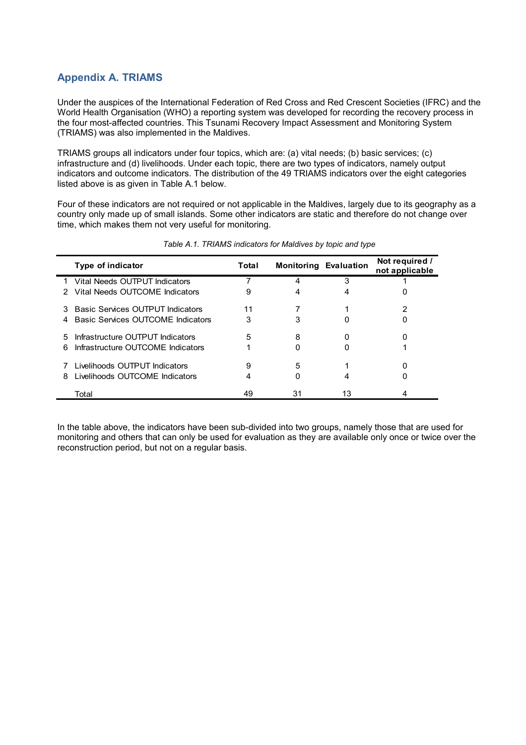# **Appendix A. TRIAMS**

Under the auspices of the International Federation of Red Cross and Red Crescent Societies (IFRC) and the World Health Organisation (WHO) a reporting system was developed for recording the recovery process in the four most-affected countries. This Tsunami Recovery Impact Assessment and Monitoring System (TRIAMS) was also implemented in the Maldives.

TRIAMS groups all indicators under four topics, which are: (a) vital needs; (b) basic services; (c) infrastructure and (d) livelihoods. Under each topic, there are two types of indicators, namely output indicators and outcome indicators. The distribution of the 49 TRIAMS indicators over the eight categories listed above is as given in Table A.1 below.

Four of these indicators are not required or not applicable in the Maldives, largely due to its geography as a country only made up of small islands. Some other indicators are static and therefore do not change over time, which makes them not very useful for monitoring.

|   | Type of indicator                        | Total | <b>Monitoring Evaluation</b> |    | Not required /<br>not applicable |
|---|------------------------------------------|-------|------------------------------|----|----------------------------------|
|   | Vital Needs OUTPUT Indicators            |       |                              | 3  |                                  |
| 2 | Vital Needs OUTCOME Indicators           | 9     |                              | 4  |                                  |
| 3 | <b>Basic Services OUTPUT Indicators</b>  | 11    |                              |    |                                  |
| 4 | <b>Basic Services OUTCOME Indicators</b> | 3     | 3                            | 0  |                                  |
| 5 | Infrastructure OUTPUT Indicators         | 5     | 8                            | ი  |                                  |
| 6 | Infrastructure OUTCOME Indicators        |       |                              |    |                                  |
|   | Livelihoods OUTPUT Indicators            | 9     | 5                            |    |                                  |
| 8 | Livelihoods OUTCOME Indicators           | 4     | O                            | 4  |                                  |
|   | Total                                    | 49    | 31                           | 13 |                                  |

#### *Table A.1. TRIAMS indicators for Maldives by topic and type*

In the table above, the indicators have been sub-divided into two groups, namely those that are used for monitoring and others that can only be used for evaluation as they are available only once or twice over the reconstruction period, but not on a regular basis.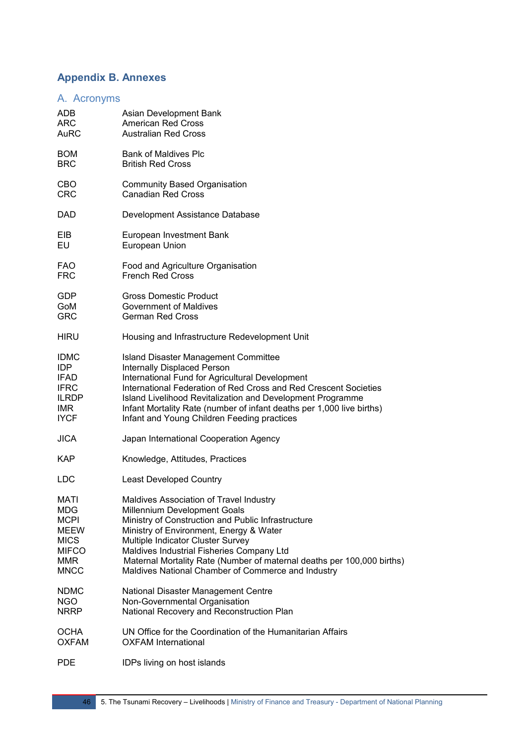# **Appendix B. Annexes**

# A. Acronyms

| ADB          | Asian Development Bank                                                 |
|--------------|------------------------------------------------------------------------|
| ARC          | <b>American Red Cross</b>                                              |
| AuRC         | <b>Australian Red Cross</b>                                            |
| <b>BOM</b>   | <b>Bank of Maldives Plc</b>                                            |
| BRC.         | <b>British Red Cross</b>                                               |
| CBO          | <b>Community Based Organisation</b>                                    |
| <b>CRC</b>   | <b>Canadian Red Cross</b>                                              |
| DAD.         | Development Assistance Database                                        |
| EIB.         | European Investment Bank                                               |
| EU           | European Union                                                         |
| FAO.         | Food and Agriculture Organisation                                      |
| <b>FRC</b>   | <b>French Red Cross</b>                                                |
| <b>GDP</b>   | <b>Gross Domestic Product</b>                                          |
| GoM          | <b>Government of Maldives</b>                                          |
| <b>GRC</b>   | <b>German Red Cross</b>                                                |
| <b>HIRU</b>  | Housing and Infrastructure Redevelopment Unit                          |
| <b>IDMC</b>  | <b>Island Disaster Management Committee</b>                            |
| <b>IDP</b>   | Internally Displaced Person                                            |
| <b>IFAD</b>  | International Fund for Agricultural Development                        |
| <b>IFRC</b>  | International Federation of Red Cross and Red Crescent Societies       |
| <b>ILRDP</b> | Island Livelihood Revitalization and Development Programme             |
| IMR.         | Infant Mortality Rate (number of infant deaths per 1,000 live births)  |
| <b>IYCF</b>  | Infant and Young Children Feeding practices                            |
| <b>JICA</b>  | Japan International Cooperation Agency                                 |
| KAP.         | Knowledge, Attitudes, Practices                                        |
| <b>LDC</b>   | <b>Least Developed Country</b>                                         |
| MATI         | Maldives Association of Travel Industry                                |
| MDG          | Millennium Development Goals                                           |
| <b>MCPI</b>  | Ministry of Construction and Public Infrastructure                     |
| <b>MEEW</b>  | Ministry of Environment, Energy & Water                                |
| <b>MICS</b>  | Multiple Indicator Cluster Survey                                      |
| <b>MIFCO</b> | Maldives Industrial Fisheries Company Ltd                              |
| MMR          | Maternal Mortality Rate (Number of maternal deaths per 100,000 births) |
| <b>MNCC</b>  | Maldives National Chamber of Commerce and Industry                     |
| <b>NDMC</b>  | National Disaster Management Centre                                    |
| <b>NGO</b>   | Non-Governmental Organisation                                          |
| <b>NRRP</b>  | National Recovery and Reconstruction Plan                              |
| <b>OCHA</b>  | UN Office for the Coordination of the Humanitarian Affairs             |
| <b>OXFAM</b> | <b>OXFAM</b> International                                             |
| <b>PDE</b>   | IDPs living on host islands                                            |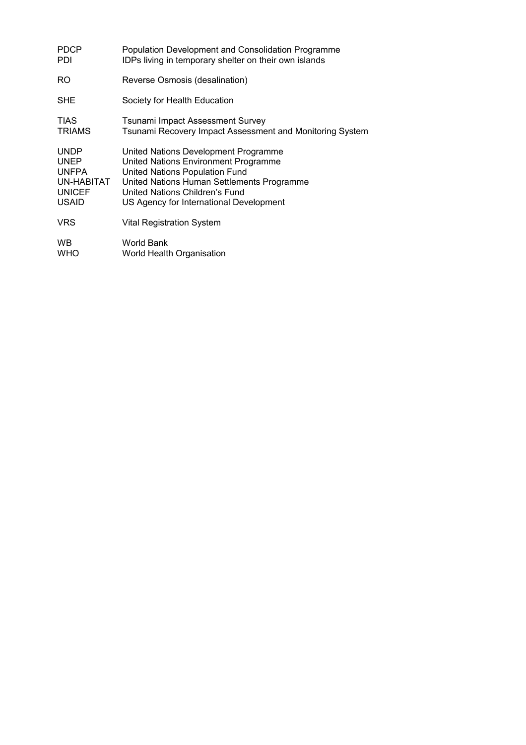| <b>PDCP</b>   | Population Development and Consolidation Programme       |
|---------------|----------------------------------------------------------|
| PDI           | IDPs living in temporary shelter on their own islands    |
| RO.           | Reverse Osmosis (desalination)                           |
| <b>SHE</b>    | Society for Health Education                             |
| <b>TIAS</b>   | Tsunami Impact Assessment Survey                         |
| <b>TRIAMS</b> | Tsunami Recovery Impact Assessment and Monitoring System |
| UNDP          | United Nations Development Programme                     |
| <b>UNEP</b>   | United Nations Environment Programme                     |
| <b>UNFPA</b>  | United Nations Population Fund                           |
| UN-HABITAT    | United Nations Human Settlements Programme               |
| <b>UNICEF</b> | United Nations Children's Fund                           |
| <b>USAID</b>  | US Agency for International Development                  |
| <b>VRS</b>    | <b>Vital Registration System</b>                         |
| WB.           | World Bank                                               |
| <b>WHO</b>    | World Health Organisation                                |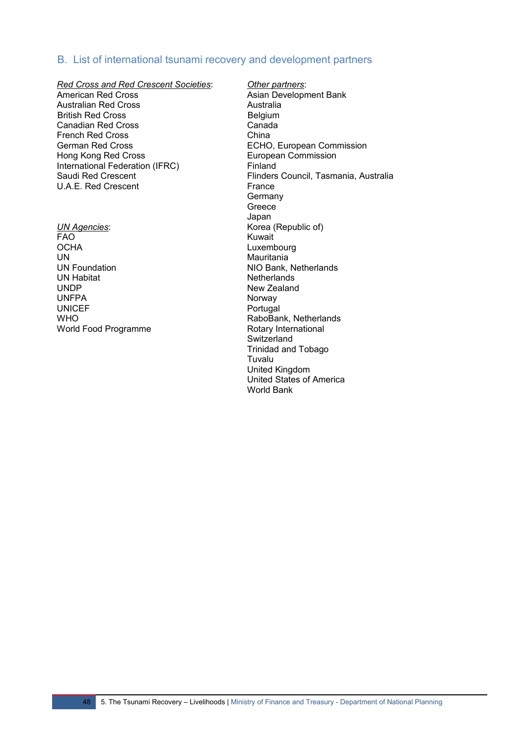# B. List of international tsunami recovery and development partners

*Red Cross and Red Crescent Societies*: *Other partners*:

Australian Red Cross<br>British Red Cross **Australia**<br>Belgium British Red Cross Belgium<br>
Canadian Red Cross Canada Canadian Red Cross Canadan Canadan Red Cross Canadan Canadan Canadan China<br>
French Red Cross China French Red Cross German Red Cross **ECHO**, European Commission Hong Kong Red Cross European Commission International Federation (IFRC) Finland U.A.E. Red Crescent France

*UN Agencies*: Korea (Republic of) FAO Kuwait<br>OCHA Luxember 2007 OCHA Luxembourg<br>
UN Mauritania UN Mauritania UN Habitat Netherlands<br>
UNDP New Zealand UNFPA Norway Norway<br>UNICEF POTUGAL UNICEF Portugal<br>
WHO RaboBar World Food Programme

Asian Development Bank<br>Australia Saudi Red Crescent Flinders Council, Tasmania, Australia Germany Greece Japan UN Foundation **NIC Bank**, Netherlands<br>
UN Habitat **NET All Accord CONTAINS** New Zealand RaboBank, Netherlands<br>Rotary International **Switzerland** Trinidad and Tobago Tuvalu United Kingdom United States of America World Bank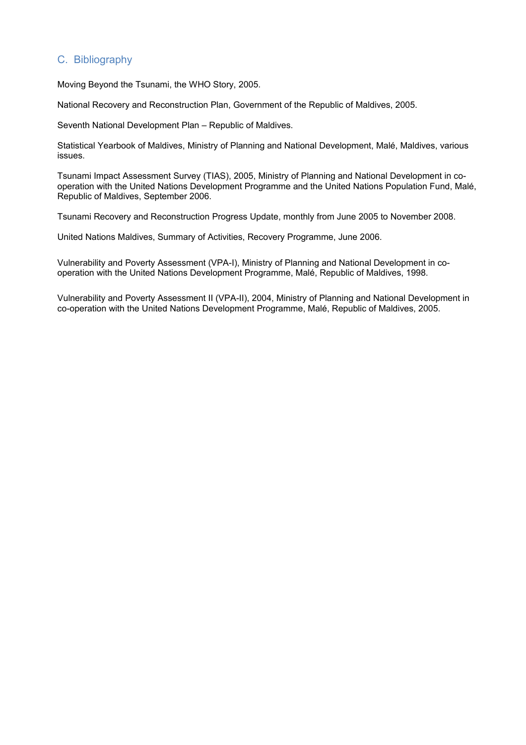# C. Bibliography

Moving Beyond the Tsunami, the WHO Story, 2005.

National Recovery and Reconstruction Plan, Government of the Republic of Maldives, 2005.

Seventh National Development Plan – Republic of Maldives.

Statistical Yearbook of Maldives, Ministry of Planning and National Development, Malé, Maldives, various issues.

Tsunami Impact Assessment Survey (TIAS), 2005, Ministry of Planning and National Development in cooperation with the United Nations Development Programme and the United Nations Population Fund, Malé, Republic of Maldives, September 2006.

Tsunami Recovery and Reconstruction Progress Update, monthly from June 2005 to November 2008.

United Nations Maldives, Summary of Activities, Recovery Programme, June 2006.

Vulnerability and Poverty Assessment (VPA-I), Ministry of Planning and National Development in cooperation with the United Nations Development Programme, Malé, Republic of Maldives, 1998.

Vulnerability and Poverty Assessment II (VPA-II), 2004, Ministry of Planning and National Development in co-operation with the United Nations Development Programme, Malé, Republic of Maldives, 2005.